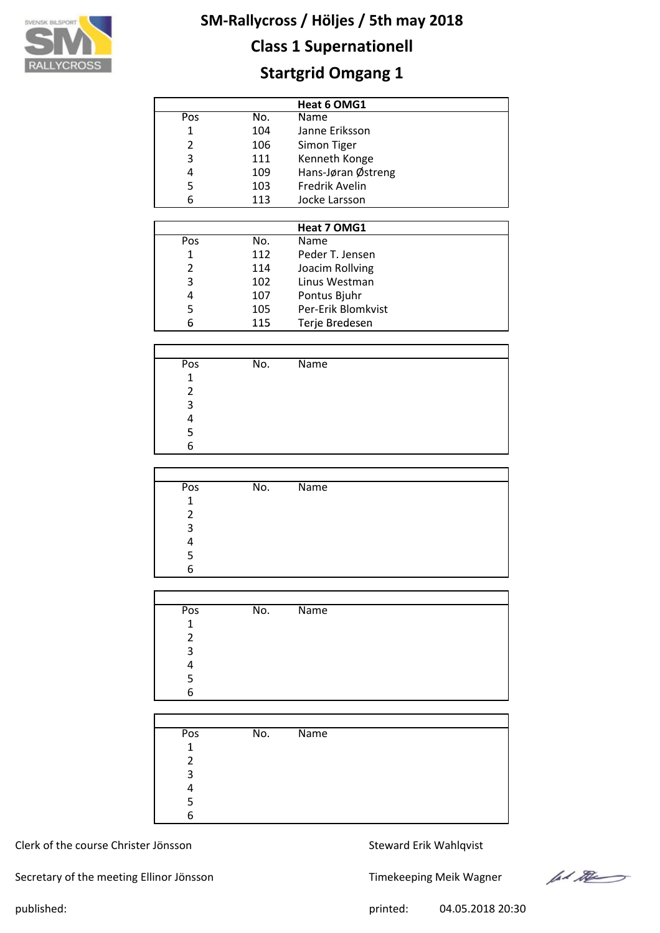

## **Class 1 Supernationell**

## **Startgrid Omgang 1**

|     |     | Heat 6 OMG1        |
|-----|-----|--------------------|
| Pos | No. | Name               |
| 1   | 104 | Janne Eriksson     |
| 2   | 106 | Simon Tiger        |
| 3   | 111 | Kenneth Konge      |
| 4   | 109 | Hans-Jøran Østreng |
| 5   | 103 | Fredrik Avelin     |
| 6   | 113 | Jocke Larsson      |

|     |     | Heat 7 OMG1        |  |
|-----|-----|--------------------|--|
| Pos | No. | Name               |  |
| 1   | 112 | Peder T. Jensen    |  |
| 2   | 114 | Joacim Rollving    |  |
| 3   | 102 | Linus Westman      |  |
| 4   | 107 | Pontus Bjuhr       |  |
| 5   | 105 | Per-Erik Blomkvist |  |
| 6   | 115 | Terje Bredesen     |  |

| Pos | No. | <b>Name</b> |
|-----|-----|-------------|
| 1   |     |             |
|     |     |             |
| ς   |     |             |
|     |     |             |
|     |     |             |
| 6   |     |             |

| Pos | No. | Name |
|-----|-----|------|
| 1   |     |      |
| 2   |     |      |
| 3   |     |      |
|     |     |      |
| 5   |     |      |
| 6   |     |      |

| Pos          | No. | Name |
|--------------|-----|------|
| $\mathbf{1}$ |     |      |
| 2            |     |      |
| 3            |     |      |
| Λ            |     |      |
| 5            |     |      |
| 6            |     |      |
|              |     |      |

| Pos | No. | $\overline{\mathsf{Name}}$ |  |
|-----|-----|----------------------------|--|
| 1   |     |                            |  |
| 2   |     |                            |  |
| 3   |     |                            |  |
| 4   |     |                            |  |
| 5   |     |                            |  |
| 6   |     |                            |  |

#### Clerk of the course Christer Jönsson Steward Erik Wahlqvist

Secretary of the meeting Ellinor Jönsson Timekeeping Meik Wagner

ford the

published: printed: 04.05.2018 20:30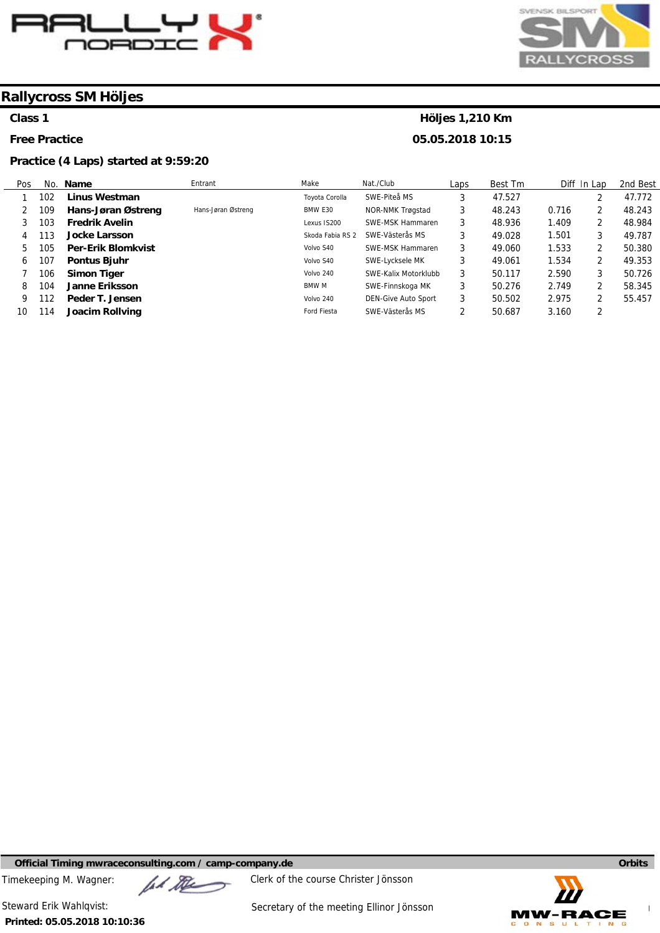



#### **Class 1**

**Free Practice** 

#### **Practice (4 Laps) started at 9:59:20**

#### **Höljes 1,210 Km 05.05.2018 10:15**

Pos 1 2 3 4 5 6 7 8 9 10 No. **Name**  102 109 103 113 105 107 106 104 112 114 **Linus Westman Hans-Jøran Østreng Fredrik Avelin Jocke Larsson Per-Erik Blomkvist Pontus Bjuhr Simon Tiger Janne Eriksson Peder T. Jensen Joacim Rollving**  Entrant Hans-Jøran Østreng Make Toyota Corolla BMW E30 Lexus IS200 Skoda Fabia RS 2 SWE-Västerås MS Volvo S40 Volvo S40 Volvo 240 BMW M Volvo 240 Ford Fiesta Nat./Club SWE-Piteå MS NOR-NMK Trøgstad SWE-MSK Hammaren SWE-MSK Hammaren SWE-Lycksele MK SWE-Kalix Motorklubb SWE-Finnskoga MK DEN-Give Auto Sport SWE-Västerås MS Laps 3 3 3 3 3 3 3 3 3 2 Best Tm 47.527 48.243 48.936 49.028 49.060 49.061 50.117 50.276 50.502 50.687 Diff In Lap 0.716 1.409 1.501 1.533 1.534 2.590 2.749 2.975 3.160 2 2 2 3 2 2 3 2 2 2 2nd Best 47.772 48.243 48.984 49.787 50.380 49.353 50.726 58.345 55.457

**Official Timing mwraceconsulting.com / camp-company.de Company of Company of Company of Company of Company of Company of Company of Company of Company of Company of Company of Company of Company of Company of Company of** 

Timekeeping M. Wagner:  $\mu$  Music Clerk of the course Christer Jönsson



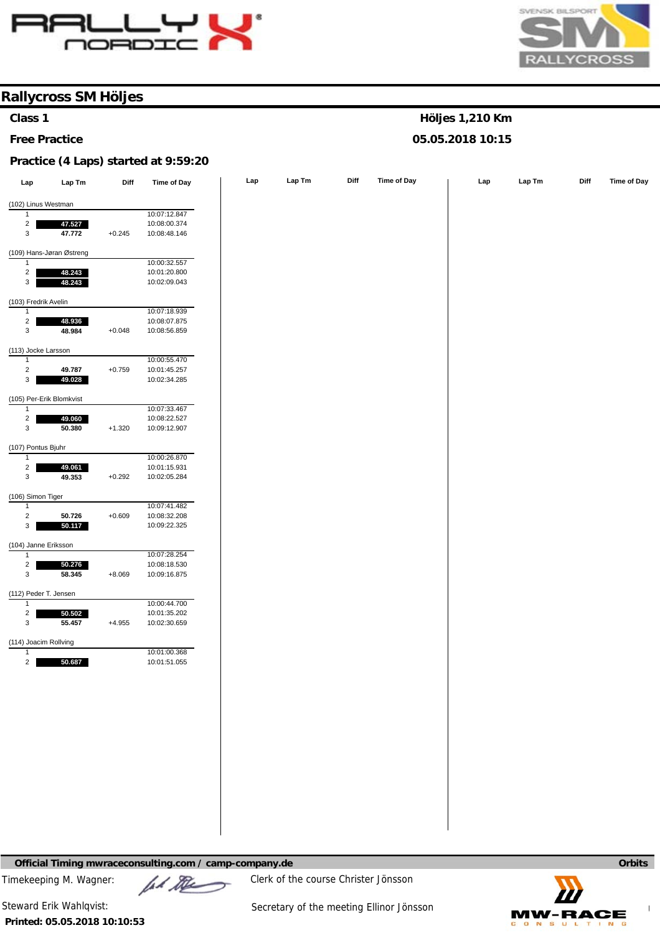



**Höljes 1,210 Km 05.05.2018 10:15** 

#### **Rallycross SM Höljes**

#### **Class 1**

**Free Practice** 

#### **Practice (4 Laps) started at 9:59:20**

| Lap                                   | Lap Tm                   | Diff     | <b>Time of Day</b> | Lap | Lap Tm | Diff | Time of Day | Lap | LapTm | Diff | Time of Day |
|---------------------------------------|--------------------------|----------|--------------------|-----|--------|------|-------------|-----|-------|------|-------------|
| (102) Linus Westman                   |                          |          |                    |     |        |      |             |     |       |      |             |
| 1                                     |                          |          | 10:07:12.847       |     |        |      |             |     |       |      |             |
| $\overline{a}$                        | 47.527                   |          | 10:08:00.374       |     |        |      |             |     |       |      |             |
| 3                                     | 47.772                   | $+0.245$ | 10:08:48.146       |     |        |      |             |     |       |      |             |
|                                       | (109) Hans-Jøran Østreng |          |                    |     |        |      |             |     |       |      |             |
| $\mathbf{1}$                          |                          |          | 10:00:32.557       |     |        |      |             |     |       |      |             |
| $\mathbf{2}$                          | 48.243                   |          | 10:01:20.800       |     |        |      |             |     |       |      |             |
| $\mathbf{3}$                          | 48.243                   |          | 10:02:09.043       |     |        |      |             |     |       |      |             |
| (103) Fredrik Avelin                  |                          |          |                    |     |        |      |             |     |       |      |             |
| $\mathbf{1}$                          |                          |          | 10:07:18.939       |     |        |      |             |     |       |      |             |
| $\overline{a}$                        | 48.936                   |          | 10:08:07.875       |     |        |      |             |     |       |      |             |
| $\mathsf 3$                           | 48.984                   | $+0.048$ | 10:08:56.859       |     |        |      |             |     |       |      |             |
| (113) Jocke Larsson                   |                          |          |                    |     |        |      |             |     |       |      |             |
| $\mathbf{1}$                          |                          |          | 10:00:55.470       |     |        |      |             |     |       |      |             |
| $\sqrt{2}$                            | 49.787                   | $+0.759$ | 10:01:45.257       |     |        |      |             |     |       |      |             |
| 3                                     | 49.028                   |          | 10:02:34.285       |     |        |      |             |     |       |      |             |
|                                       | (105) Per-Erik Blomkvist |          |                    |     |        |      |             |     |       |      |             |
| $\mathbf{1}$                          |                          |          | 10:07:33.467       |     |        |      |             |     |       |      |             |
| $\overline{\mathbf{c}}$               | 49.060                   |          | 10:08:22.527       |     |        |      |             |     |       |      |             |
| $\mathsf 3$                           | 50.380                   | $+1.320$ | 10:09:12.907       |     |        |      |             |     |       |      |             |
| (107) Pontus Bjuhr                    |                          |          |                    |     |        |      |             |     |       |      |             |
| 1                                     |                          |          | 10:00:26.870       |     |        |      |             |     |       |      |             |
| $\overline{a}$                        | 49.061                   |          | 10:01:15.931       |     |        |      |             |     |       |      |             |
| $\mathsf 3$                           | 49.353                   | $+0.292$ | 10:02:05.284       |     |        |      |             |     |       |      |             |
| (106) Simon Tiger                     |                          |          |                    |     |        |      |             |     |       |      |             |
| 1                                     |                          |          | 10:07:41.482       |     |        |      |             |     |       |      |             |
| $\sqrt{2}$                            | 50.726                   | $+0.609$ | 10:08:32.208       |     |        |      |             |     |       |      |             |
| $\mathbf 3$                           | 50.117                   |          | 10:09:22.325       |     |        |      |             |     |       |      |             |
| (104) Janne Eriksson                  |                          |          |                    |     |        |      |             |     |       |      |             |
| $\mathbf{1}$                          |                          |          | 10:07:28.254       |     |        |      |             |     |       |      |             |
| $\overline{\mathbf{c}}$               | 50.276                   |          | 10:08:18.530       |     |        |      |             |     |       |      |             |
| $\mathsf 3$                           | 58.345                   | $+8.069$ | 10:09:16.875       |     |        |      |             |     |       |      |             |
| (112) Peder T. Jensen                 |                          |          |                    |     |        |      |             |     |       |      |             |
| 1                                     |                          |          | 10:00:44.700       |     |        |      |             |     |       |      |             |
| $\overline{\mathbf{c}}$               | 50.502                   |          | 10:01:35.202       |     |        |      |             |     |       |      |             |
| $\mathsf 3$                           | 55.457                   | $+4.955$ | 10:02:30.659       |     |        |      |             |     |       |      |             |
|                                       |                          |          |                    |     |        |      |             |     |       |      |             |
| (114) Joacim Rollving<br>$\mathbf{1}$ |                          |          | 10:01:00.368       |     |        |      |             |     |       |      |             |
| $\overline{2}$                        | 50.687                   |          | 10:01:51.055       |     |        |      |             |     |       |      |             |
|                                       |                          |          |                    |     |        |      |             |     |       |      |             |
|                                       |                          |          |                    |     |        |      |             |     |       |      |             |
|                                       |                          |          |                    |     |        |      |             |     |       |      |             |
|                                       |                          |          |                    |     |        |      |             |     |       |      |             |
|                                       |                          |          |                    |     |        |      |             |     |       |      |             |
|                                       |                          |          |                    |     |        |      |             |     |       |      |             |
|                                       |                          |          |                    |     |        |      |             |     |       |      |             |
|                                       |                          |          |                    |     |        |      |             |     |       |      |             |
|                                       |                          |          |                    |     |        |      |             |     |       |      |             |
|                                       |                          |          |                    |     |        |      |             |     |       |      |             |
|                                       |                          |          |                    |     |        |      |             |     |       |      |             |
|                                       |                          |          |                    |     |        |      |             |     |       |      |             |
|                                       |                          |          |                    |     |        |      |             |     |       |      |             |

**Official Timing mwraceconsulting.com / camp-company.de Orbits <b>Company** and **Company** and **Company** and **Company** and **Company** and **Company** and **Company** and **Company** and **Company** and **Company** and **Company** and **Co** 

Timekeeping M. Wagner:  $\mathbb{Z}$   $\mathbb{Z}$  Clerk of the course Christer Jönsson



**Printed: 05.05.2018 10:10:53**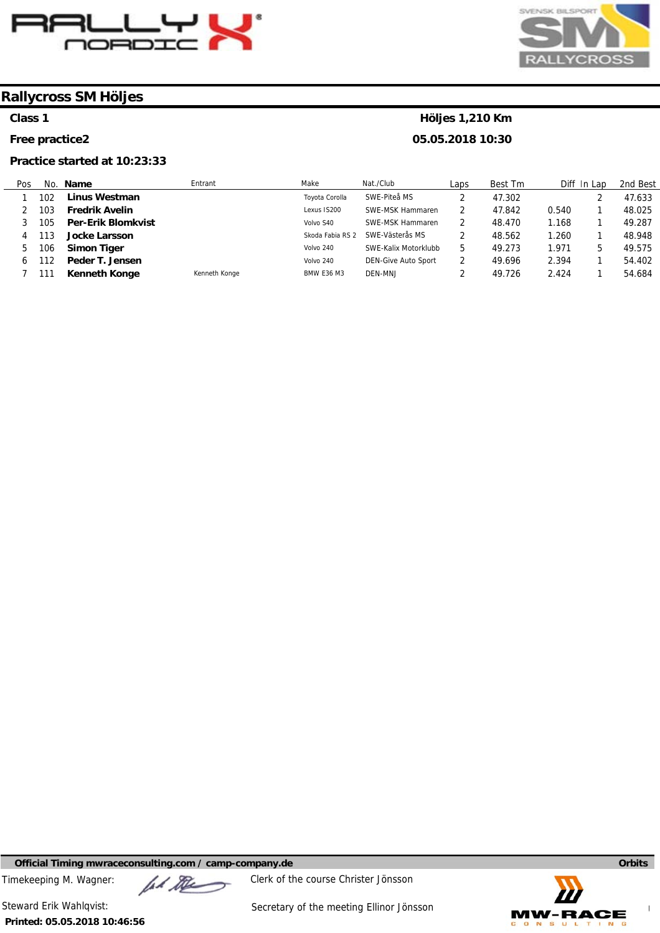



#### **Class 1**

**Free practice2** 

#### **Practice started at 10:23:33**

#### **Höljes 1,210 Km 05.05.2018 10:30**

Pos 1 2 3 4 5 6 7 No. **Name**  102 103 105 113 106 112 111 **Linus Westman Fredrik Avelin Per-Erik Blomkvist Jocke Larsson Simon Tiger Peder T. Jensen Kenneth Konge**  Entrant Kenneth Konge Make Toyota Corolla Lexus IS200 Volvo S40 Skoda Fabia RS 2 SWE-Västerås MS Volvo 240 Volvo 240 BMW E36 M3 Nat./Club SWE-Piteå MS SWE-MSK Hammaren SWE-MSK Hammaren SWE-Kalix Motorklubb DEN-Give Auto Sport DEN-MNJ Laps 2 2 2 2 5 2 2 Best Tm 47.302 47.842 48.470 48.562 49.273 49.696 49.726 Diff In Lap 0.540 1.168 1.260 1.971 2.394 2.424 2 1 1 1 5 1 1 2nd Best 47.633 48.025 49.287 48.948 49.575 54.402 54.684

**Official Timing mwraceconsulting.com / camp-company.de Company of Company of Company of Company of Company of Company of Company of Company of Company of Company of Company of Company of Company of Company of Company of** 

Timekeeping M. Wagner:  $\mu$  Music Clerk of the course Christer Jönsson



**Printed: 05.05.2018 10:46:56**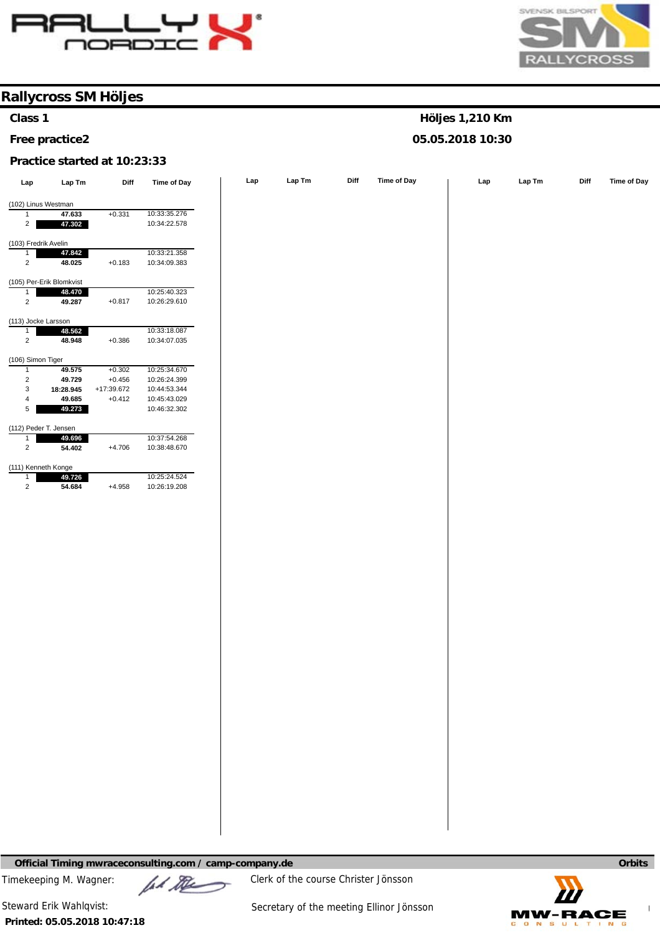



**Höljes 1,210 Km 05.05.2018 10:30** 

### **Rallycross SM Höljes**

#### **Class 1**

#### **Free practice2**

#### **Practice started at 10:23:33**

| Lap                  | $\ensuremath{\mathsf{Lap}}\xspace\, \ensuremath{\mathsf{Tm}}\xspace$ | Diff                   | Time of Day                  | Lap | Lap Tm | Diff | Time of Day | Lap | Lap Tm | Diff | Time of Day |
|----------------------|----------------------------------------------------------------------|------------------------|------------------------------|-----|--------|------|-------------|-----|--------|------|-------------|
|                      | (102) Linus Westman                                                  |                        |                              |     |        |      |             |     |        |      |             |
| $\mathbf{1}$         | 47.633                                                               | $+0.331$               | 10:33:35.276                 |     |        |      |             |     |        |      |             |
| $\overline{2}$       | 47.302                                                               |                        | 10:34:22.578                 |     |        |      |             |     |        |      |             |
| (103) Fredrik Avelin |                                                                      |                        |                              |     |        |      |             |     |        |      |             |
| $\mathbf{1}$         | 47.842                                                               |                        | 10:33:21.358                 |     |        |      |             |     |        |      |             |
| $\overline{2}$       | 48.025                                                               | $+0.183$               | 10:34:09.383                 |     |        |      |             |     |        |      |             |
|                      | (105) Per-Erik Blomkvist                                             |                        |                              |     |        |      |             |     |        |      |             |
| $\mathbf{1}$         | 48.470                                                               |                        | 10:25:40.323<br>10:26:29.610 |     |        |      |             |     |        |      |             |
| $\overline{2}$       | 49.287                                                               | $+0.817$               |                              |     |        |      |             |     |        |      |             |
| (113) Jocke Larsson  |                                                                      |                        |                              |     |        |      |             |     |        |      |             |
| $\mathbf{1}$         | 48.562                                                               |                        | 10:33:18.087                 |     |        |      |             |     |        |      |             |
| $\sqrt{2}$           | 48.948                                                               | $+0.386$               | 10:34:07.035                 |     |        |      |             |     |        |      |             |
| (106) Simon Tiger    |                                                                      |                        |                              |     |        |      |             |     |        |      |             |
| $\mathbf{1}$         | 49.575                                                               | $+0.302$               | 10:25:34.670                 |     |        |      |             |     |        |      |             |
| $\sqrt{2}$           | 49.729                                                               | $+0.456$               | 10:26:24.399                 |     |        |      |             |     |        |      |             |
| 3<br>$\overline{4}$  | 18:28.945                                                            | +17:39.672<br>$+0.412$ | 10:44:53.344<br>10:45:43.029 |     |        |      |             |     |        |      |             |
| $5\phantom{.0}$      | 49.685<br>49.273                                                     |                        | 10:46:32.302                 |     |        |      |             |     |        |      |             |
|                      |                                                                      |                        |                              |     |        |      |             |     |        |      |             |
|                      | (112) Peder T. Jensen                                                |                        |                              |     |        |      |             |     |        |      |             |
| $\mathbf{1}$         | 49.696                                                               |                        | 10:37:54.268                 |     |        |      |             |     |        |      |             |
| $\overline{2}$       | 54.402                                                               | $+4.706$               | 10:38:48.670                 |     |        |      |             |     |        |      |             |
| $\mathbf{1}$         | (111) Kenneth Konge<br>49.726                                        |                        | 10:25:24.524                 |     |        |      |             |     |        |      |             |
| $\sqrt{2}$           | 54.684                                                               | $+4.958$               | 10:26:19.208                 |     |        |      |             |     |        |      |             |
|                      |                                                                      |                        |                              |     |        |      |             |     |        |      |             |
|                      |                                                                      |                        |                              |     |        |      |             |     |        |      |             |

**Official Timing mwraceconsulting.com / camp-company.de Company of Company of Company of Company of Company of Company of Company of Company of Company of Company of Company of Company of Company of Company of Company of** 

Timekeeping M. Wagner:  $\mathbb{Z}$   $\mathbb{Z}$  Clerk of the course Christer Jönsson



**Printed: 05.05.2018 10:47:18**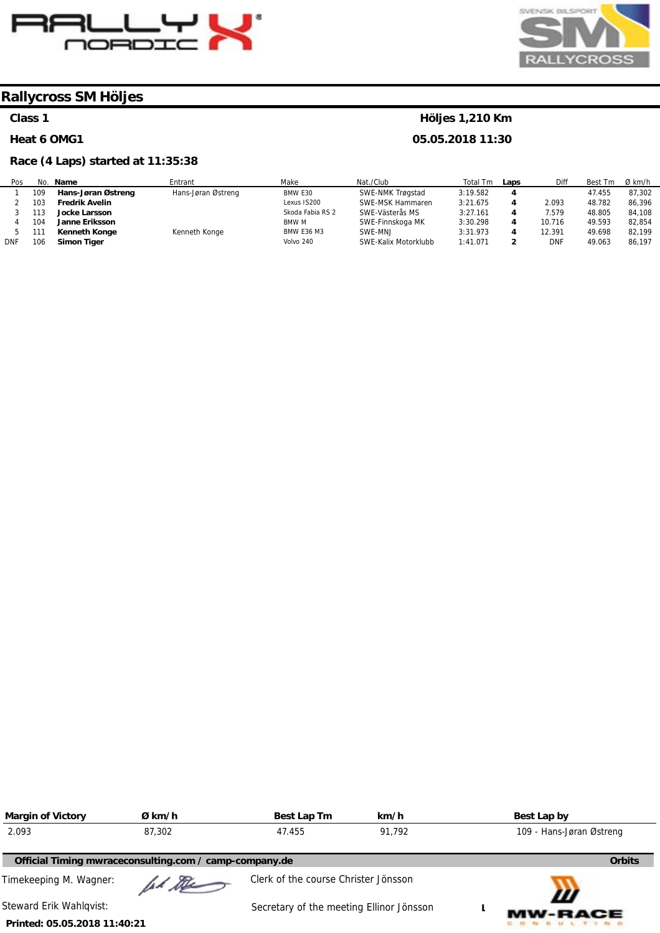



#### **Class 1**

#### **Heat 6 OMG1**

#### **Race (4 Laps) started at 11:35:38**

#### **Höljes 1,210 Km**

**05.05.2018 11:30** 

| Pos        | No. | Name                  | Entrant            | Make              | Nat./Club            | Total<br>Tm | Laps | Diff       | Best Tm | $Ø$ km/h |
|------------|-----|-----------------------|--------------------|-------------------|----------------------|-------------|------|------------|---------|----------|
|            | 109 | Hans-Jøran Østreng    | Hans-Jøran Østreng | BMW E30           | SWE-NMK Trøgstad     | 3:19.582    |      |            | 47.455  | 87,302   |
|            | 103 | <b>Fredrik Avelin</b> |                    | Lexus IS200       | SWE-MSK Hammaren     | 3:21.675    |      | 2.093      | 48.782  | 86.396   |
|            | 113 | <b>Jocke Larsson</b>  |                    | Skoda Fabia RS 2  | SWE-Västerås MS      | 3:27.161    |      | 7.579      | 48.805  | 84,108   |
|            | 104 | <b>Janne Eriksson</b> |                    | <b>BMW M</b>      | SWE-Finnskoga MK     | 3:30.298    |      | 10.716     | 49.593  | 82.854   |
|            | 111 | Kenneth Konge         | Kenneth Konge      | <b>BMW E36 M3</b> | SWE-MNJ              | 3:31.973    |      | 12.391     | 49.698  | 82.199   |
| <b>DNF</b> | 106 | Simon Tiger           |                    | Volvo 240         | SWE-Kalix Motorklubb | 1:41.071    |      | <b>DNF</b> | 49.063  | 86.197   |

| <b>Margin of Victory</b>     | Ø km/h                                                 | Best Lap Tm                              | km/h   | Best Lap by              |               |
|------------------------------|--------------------------------------------------------|------------------------------------------|--------|--------------------------|---------------|
| 2.093                        | 87.302                                                 | 47.455                                   | 91.792 | 109 - Hans-Jøran Østreng |               |
|                              | Official Timing mwraceconsulting.com / camp-company.de |                                          |        |                          | <b>Orbits</b> |
| Timekeeping M. Wagner:       | ad the                                                 | Clerk of the course Christer Jönsson     |        | W                        |               |
| Steward Erik Wahlgvist:      |                                                        | Secretary of the meeting Ellinor Jönsson |        | <b>MW-RACE</b>           |               |
| Printed: 05.05.2018 11:40:21 |                                                        |                                          |        |                          |               |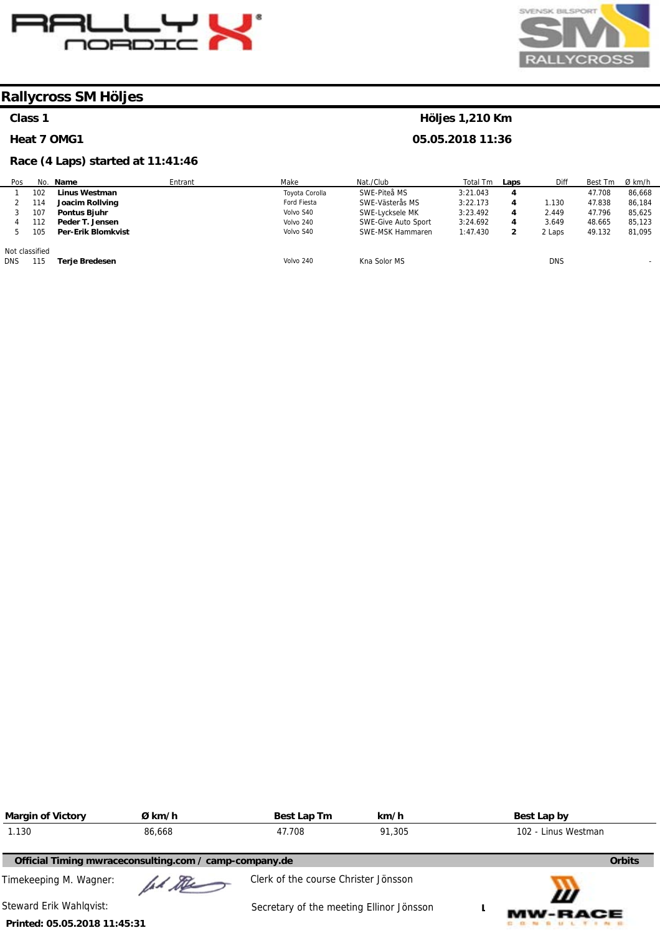



#### **Class 1**

#### **Heat 7 OMG1**

#### **Race (4 Laps) started at 11:41:46**

| Pos            |     | No. Name                  | Entrant | Make           | Nat./Club           | Total Tm | Laps | <b>Diff</b> | Best Tm | Ø km/h                   |
|----------------|-----|---------------------------|---------|----------------|---------------------|----------|------|-------------|---------|--------------------------|
|                | 102 | <b>Linus Westman</b>      |         | Toyota Corolla | SWE-Piteå MS        | 3:21.043 | 4    |             | 47.708  | 86,668                   |
|                | 114 | Joacim Rollving           |         | Ford Fiesta    | SWE-Västerås MS     | 3:22.173 | 4    | .130،       | 47.838  | 86,184                   |
|                | 107 | Pontus Bjuhr              |         | Volvo S40      | SWE-Lycksele MK     | 3:23.492 | 4    | 2.449       | 47.796  | 85,625                   |
|                | 12  | Peder T. Jensen           |         | Volvo 240      | SWE-Give Auto Sport | 3:24.692 | 4    | 3.649       | 48.665  | 85.123                   |
|                | 105 | <b>Per-Erik Blomkvist</b> |         | Volvo S40      | SWE-MSK Hammaren    | 1:47.430 |      | 2 Laps      | 49.132  | 81,095                   |
| Not classified |     |                           |         |                |                     |          |      |             |         |                          |
| <b>DNS</b>     | 115 | Terje Bredesen            |         | Volvo 240      | Kna Solor MS        |          |      | <b>DNS</b>  |         | $\overline{\phantom{a}}$ |

| <b>Margin of Victory</b>     | Ø km/h                                                 | Best Lap Tm                              | km/h | Best Lap by         |
|------------------------------|--------------------------------------------------------|------------------------------------------|------|---------------------|
| 1.130                        | 47.708<br>91,305<br>86,668                             |                                          |      | 102 - Linus Westman |
|                              | Official Timing mwraceconsulting.com / camp-company.de |                                          |      | <b>Orbits</b>       |
| Timekeeping M. Wagner:       | ad the                                                 | Clerk of the course Christer Jönsson     |      |                     |
| Steward Erik Wahlqvist:      |                                                        | Secretary of the meeting Ellinor Jönsson |      | Ш<br><b>MW-RACE</b> |
| Printed: 05.05.2018 11:45:31 |                                                        |                                          |      |                     |

#### **Höljes 1,210 Km**

**05.05.2018 11:36**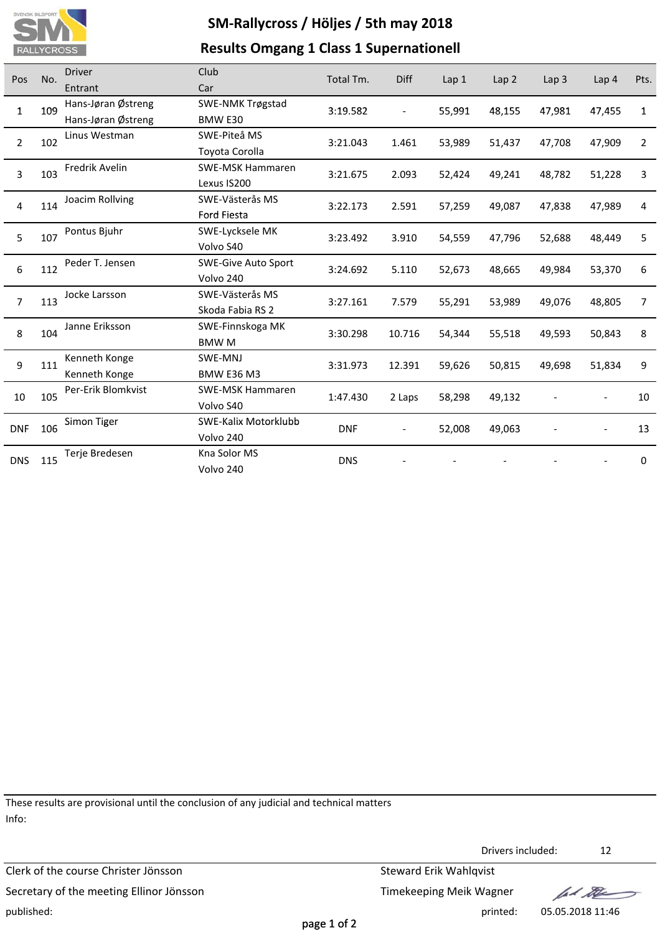

## **SM‐Rallycross / Höljes / 5th may 2018 Results Omgang 1 Class 1 Supernationell**

| Pos            | No.      | <b>Driver</b>      | Club                       | Total Tm.  | Diff                     | Lap1   | Lap <sub>2</sub> | Lap <sub>3</sub> | Lap <sub>4</sub> | Pts.           |
|----------------|----------|--------------------|----------------------------|------------|--------------------------|--------|------------------|------------------|------------------|----------------|
|                |          | Entrant            | Car                        |            |                          |        |                  |                  |                  |                |
| $\mathbf{1}$   | 109      | Hans-Jøran Østreng | SWE-NMK Trøgstad           | 3:19.582   | $\blacksquare$           | 55,991 | 48,155           | 47,981           | 47,455           | $\mathbf{1}$   |
|                |          | Hans-Jøran Østreng | BMW E30                    |            |                          |        |                  |                  |                  |                |
| $\overline{2}$ | 102      | Linus Westman      | SWE-Piteå MS               | 3:21.043   | 1.461                    | 53,989 | 51,437           | 47,708           | 47,909           | $\overline{2}$ |
|                |          |                    | Toyota Corolla             |            |                          |        |                  |                  |                  |                |
| 3              | 103      | Fredrik Avelin     | <b>SWE-MSK Hammaren</b>    | 3:21.675   | 2.093                    | 52,424 | 49,241           | 48,782           | 51,228           | 3              |
|                |          |                    | Lexus IS200                |            |                          |        |                  |                  |                  |                |
| 4              | 114      | Joacim Rollving    | SWE-Västerås MS            | 3:22.173   | 2.591                    | 57,259 | 49,087           | 47,838           | 47,989           | 4              |
|                |          |                    | <b>Ford Fiesta</b>         |            |                          |        |                  |                  |                  |                |
|                | 5<br>107 | Pontus Bjuhr       | SWE-Lycksele MK            | 3:23.492   | 3.910                    | 54,559 | 47,796           | 52,688           | 48,449           | 5              |
|                |          |                    | Volvo S40                  |            |                          |        |                  |                  |                  |                |
| 6              | 112      | Peder T. Jensen    | <b>SWE-Give Auto Sport</b> | 3:24.692   | 5.110                    | 52,673 | 48,665           | 49,984           | 53,370           | 6              |
|                |          |                    | Volvo 240                  |            |                          |        |                  |                  |                  |                |
| $\overline{7}$ | 113      | Jocke Larsson      | SWE-Västerås MS            | 3:27.161   | 7.579                    | 55,291 | 53,989           | 49,076           | 48,805           | 7              |
|                |          |                    | Skoda Fabia RS 2           |            |                          |        |                  |                  |                  |                |
| 8              | 104      | Janne Eriksson     | SWE-Finnskoga MK           | 3:30.298   | 10.716                   | 54,344 | 55,518           | 49,593           | 50,843           | 8              |
|                |          |                    | BMW M                      |            |                          |        |                  |                  |                  |                |
| 9              | 111      | Kenneth Konge      | SWE-MNJ                    | 3:31.973   | 12.391                   | 59,626 | 50,815           | 49,698           | 51,834           | 9              |
|                |          | Kenneth Konge      | <b>BMW E36 M3</b>          |            |                          |        |                  |                  |                  |                |
| 10             | 105      | Per-Erik Blomkvist | <b>SWE-MSK Hammaren</b>    | 1:47.430   | 2 Laps                   | 58,298 | 49,132           |                  |                  | 10             |
|                |          |                    | Volvo S40                  |            |                          |        |                  |                  |                  |                |
| <b>DNF</b>     | 106      | Simon Tiger        | SWE-Kalix Motorklubb       | <b>DNF</b> | $\overline{\phantom{a}}$ | 52,008 | 49,063           |                  |                  | 13             |
|                |          |                    | Volvo 240                  |            |                          |        |                  |                  |                  |                |
| <b>DNS</b>     | 115      | Terje Bredesen     | Kna Solor MS               | <b>DNS</b> |                          |        |                  |                  |                  | 0              |
|                |          |                    | Volvo 240                  |            |                          |        |                  |                  |                  |                |

These results are provisional until the conclusion of any judicial and technical matters Info:

Clerk of the course Christer Jönsson Steward Erik Wahlqvist Secretary of the meeting Ellinor Jönsson Secretary of the meeting Ellinor Jönsson published: printed: 05.05.2018 11:46

Drivers included: 12

lad the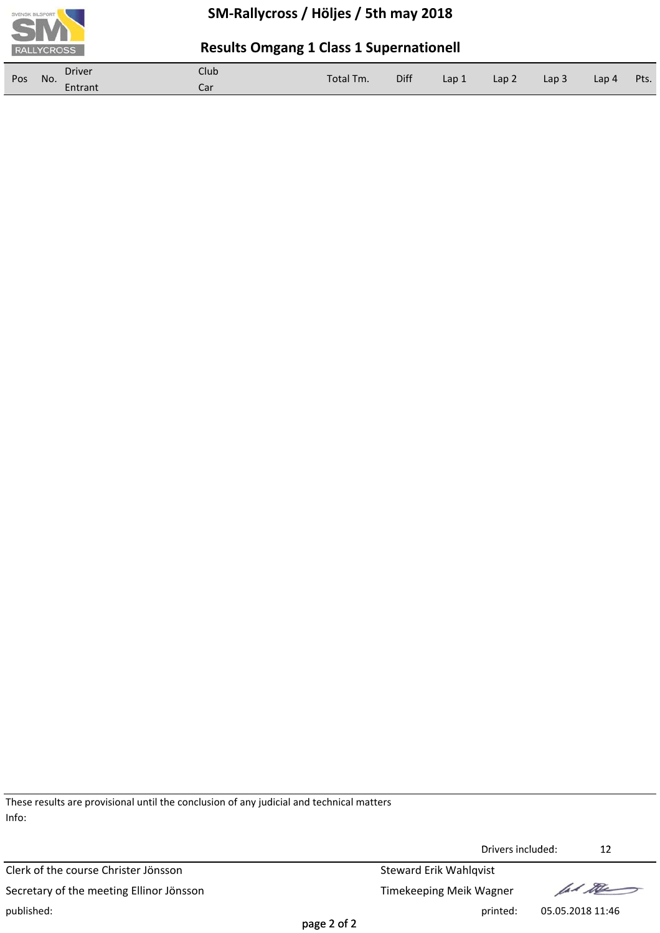

### **Results Omgang 1 Class 1 Supernationell**

| Pos | No. | Driver  | Club | Total Tm. | Diff |       | Lap 2 | Lap <sub>3</sub> | Lap 4 | Pts. |
|-----|-----|---------|------|-----------|------|-------|-------|------------------|-------|------|
|     |     | Entrant | Car  |           |      | Lap 1 |       |                  |       |      |

These results are provisional until the conclusion of any judicial and technical matters Info:

Clerk of the course Christer Jönsson Steward Erik Wahlqvist Secretary of the meeting Ellinor Jönsson Secretary of the meeting Ellinor Jönsson published: printed: 05.05.2018 11:46

Drivers included: 12

lad the

page 2 of 2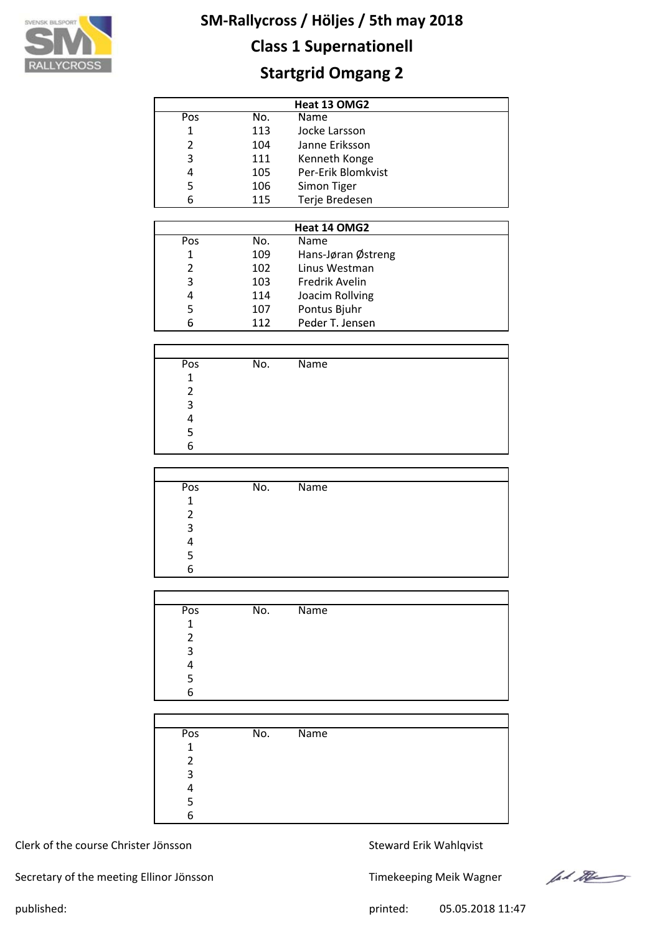

## **Class 1 Supernationell**

## **Startgrid Omgang 2**

| Heat 13 OMG2               |     |                    |  |  |  |  |  |
|----------------------------|-----|--------------------|--|--|--|--|--|
| Pos                        | No. | Name               |  |  |  |  |  |
| Jocke Larsson<br>1<br>113  |     |                    |  |  |  |  |  |
| Janne Eriksson<br>2<br>104 |     |                    |  |  |  |  |  |
| 3                          | 111 | Kenneth Konge      |  |  |  |  |  |
| 4                          | 105 | Per-Erik Blomkvist |  |  |  |  |  |
| 5<br>106<br>Simon Tiger    |     |                    |  |  |  |  |  |
| 6                          | 115 | Terje Bredesen     |  |  |  |  |  |

|              |     | Heat 14 OMG2       |  |
|--------------|-----|--------------------|--|
| Pos          | No. | <b>Name</b>        |  |
| $\mathbf{1}$ | 109 | Hans-Jøran Østreng |  |
| 2            | 102 | Linus Westman      |  |
| 3            | 103 | Fredrik Avelin     |  |
| 4            | 114 | Joacim Rollving    |  |
| 5            | 107 | Pontus Bjuhr       |  |
| 6            | 112 | Peder T. Jensen    |  |

| Pos          | No. | <b>Name</b> |
|--------------|-----|-------------|
| $\mathbf{1}$ |     |             |
| 2            |     |             |
| 3            |     |             |
|              |     |             |
|              |     |             |
| 6            |     |             |

| Pos | No. | $\overline{\mathsf{Name}}$ |
|-----|-----|----------------------------|
| 1   |     |                            |
| 2   |     |                            |
| 3   |     |                            |
|     |     |                            |
| 5   |     |                            |
| 6   |     |                            |

| Pos          | No. | Name |
|--------------|-----|------|
| $\mathbf{1}$ |     |      |
| 2            |     |      |
| 3            |     |      |
| Λ            |     |      |
| 5            |     |      |
| 6            |     |      |
|              |     |      |

| Pos          | No. | $\overline{\mathsf{Name}}$ |  |
|--------------|-----|----------------------------|--|
| $\mathbf{1}$ |     |                            |  |
| 2            |     |                            |  |
| 3            |     |                            |  |
|              |     |                            |  |
|              |     |                            |  |
| 6            |     |                            |  |

#### Clerk of the course Christer Jönsson Steward Erik Wahlqvist

Secretary of the meeting Ellinor Jönsson Timekeeping Meik Wagner

let the

published: 05.05.2018 11:47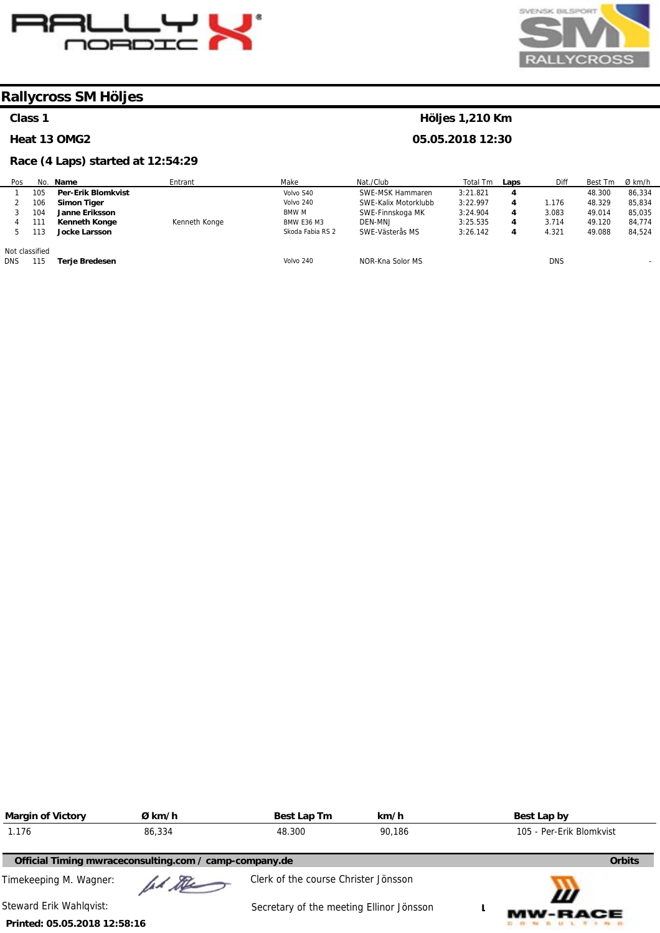



**Höljes 1,210 Km 05.05.2018 12:30** 

### **Rallycross SM Höljes**

#### **Class 1**

#### **Heat 13 OMG2**

#### **Race (4 Laps) started at 12:54:29**

| Pos            |     | No. Name                  | Entrant       | Make              | Nat./Club            | Total Tm | Laps | Diff       | Best Tm | Ø km/h |
|----------------|-----|---------------------------|---------------|-------------------|----------------------|----------|------|------------|---------|--------|
|                | 105 | <b>Per-Erik Blomkvist</b> |               | Volvo S40         | SWE-MSK Hammaren     | 3:21.821 | 4    |            | 48.300  | 86,334 |
|                | 106 | Simon Tiger               |               | Volvo 240         | SWE-Kalix Motorklubb | 3:22.997 | 4    | 1.176      | 48.329  | 85.834 |
|                | 104 | Janne Eriksson            |               | <b>BMW M</b>      | SWE-Finnskoga MK     | 3:24.904 | 4    | 3.083      | 49.014  | 85,035 |
|                | 111 | <b>Kenneth Konge</b>      | Kenneth Konge | <b>BMW E36 M3</b> | DEN-MNJ              | 3:25.535 | 4    | 3.714      | 49.120  | 84.774 |
|                | 113 | <b>Jocke Larsson</b>      |               | Skoda Fabia RS 2  | SWE-Västerås MS      | 3:26.142 | 4    | 4.321      | 49.088  | 84.524 |
| Not classified |     |                           |               |                   |                      |          |      |            |         |        |
| <b>DNS</b>     | 115 | Terje Bredesen            |               | Volvo 240         | NOR-Kna Solor MS     |          |      | <b>DNS</b> |         |        |

| <b>Margin of Victory</b>                               | Ø km/h | Best Lap Tm                              | km/h   | Best Lap by              |
|--------------------------------------------------------|--------|------------------------------------------|--------|--------------------------|
| 1.176                                                  | 86,334 | 48.300                                   | 90.186 | 105 - Per-Erik Blomkvist |
| Official Timing mwraceconsulting.com / camp-company.de |        |                                          |        | <b>Orbits</b>            |
| Timekeeping M. Wagner:                                 | ad the | Clerk of the course Christer Jönsson     |        | Ш                        |
| Steward Erik Wahlqvist:                                |        | Secretary of the meeting Ellinor Jönsson |        | <b>MW-RACE</b>           |
| Printed: 05.05.2018 12:58:16                           |        |                                          |        |                          |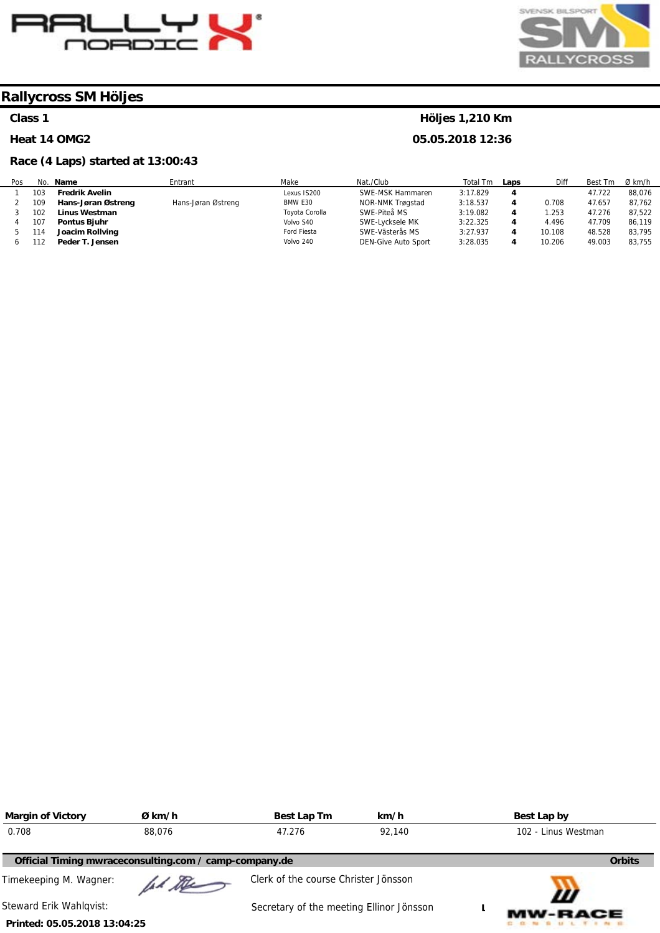



#### **Class 1**

#### **Heat 14 OMG2**

#### **Race (4 Laps) started at 13:00:43**

#### **Höljes 1,210 Km**

**05.05.2018 12:36** 

| Pos | No. | Name                  | Entrant            | Make           | Nat./Club           | Total Tm | Laps | Diff   | Best Tm | $Ø$ km/h |
|-----|-----|-----------------------|--------------------|----------------|---------------------|----------|------|--------|---------|----------|
|     | 103 | <b>Fredrik Avelin</b> |                    | Lexus IS200    | SWE-MSK Hammaren    | 3:17.829 | 4    |        | 47.722  | 88.076   |
|     | 109 | Hans-Jøran Østreng    | Hans-Jøran Østreng | BMW E30        | NOR-NMK Trøgstad    | 3:18.537 |      | 0.708  | 47.657  | 87,762   |
|     | 102 | Linus Westman         |                    | Toyota Corolla | SWE-Piteå MS        | 3:19.082 | 4    | .253   | 47.276  | 87,522   |
|     | 107 | Pontus Bjuhr          |                    | Volvo S40      | SWE-Lycksele MK     | 3:22.325 | 4    | 4.496  | 47.709  | 86.119   |
|     | 114 | Joacim Rollving       |                    | Ford Fiesta    | SWE-Västerås MS     | 3:27.937 | 4    | 10.108 | 48.528  | 83,795   |
|     | 112 | Peder T. Jensen       |                    | Volvo 240      | DEN-Give Auto Sport | 3:28.035 | 4    | 10.206 | 49.003  | 83,755   |

| <b>Margin of Victory</b>     | Ø km/h                                                 | Best Lap Tm                              | km/h | Best Lap by         |
|------------------------------|--------------------------------------------------------|------------------------------------------|------|---------------------|
| 0.708                        | 88,076                                                 | 47.276<br>92.140                         |      | 102 - Linus Westman |
|                              | Official Timing mwraceconsulting.com / camp-company.de |                                          |      | <b>Orbits</b>       |
| Timekeeping M. Wagner:       | had the                                                | Clerk of the course Christer Jönsson     |      | Ш                   |
| Steward Erik Wahlqvist:      |                                                        | Secretary of the meeting Ellinor Jönsson |      | <b>MW-RACE</b>      |
| Printed: 05.05.2018 13:04:25 |                                                        |                                          |      |                     |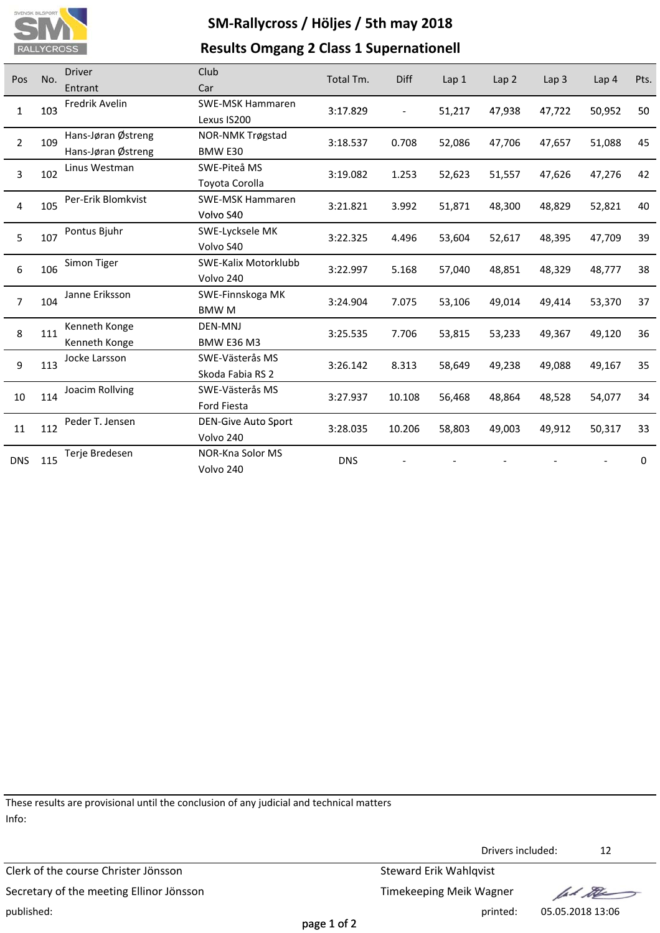

### **Results Omgang 2 Class 1 Supernationell**

| Pos               | No.          | <b>Driver</b>        | Club                       | Total Tm.  | Diff                     | Lap 1  | Lap <sub>2</sub> | Lap <sub>3</sub> | Lap 4  | Pts. |
|-------------------|--------------|----------------------|----------------------------|------------|--------------------------|--------|------------------|------------------|--------|------|
|                   |              | Entrant              | Car                        |            |                          |        |                  |                  |        |      |
| $\mathbf{1}$      | 103          | Fredrik Avelin       | SWE-MSK Hammaren           | 3:17.829   | $\overline{\phantom{a}}$ | 51,217 | 47,938           | 47,722           | 50,952 | 50   |
|                   |              |                      | Lexus IS200                |            |                          |        |                  |                  |        |      |
| $\overline{2}$    | 109          | Hans-Jøran Østreng   | NOR-NMK Trøgstad           | 3:18.537   | 0.708                    | 52,086 | 47,706           | 47,657           | 51,088 | 45   |
|                   |              | Hans-Jøran Østreng   | BMW E30                    |            |                          |        |                  |                  |        |      |
|                   | 3<br>102     | Linus Westman        | SWE-Piteå MS               | 3:19.082   | 1.253                    | 52,623 | 51,557           | 47,626           | 47,276 | 42   |
|                   |              | Toyota Corolla       |                            |            |                          |        |                  |                  |        |      |
| 4                 | 105          | Per-Erik Blomkvist   | <b>SWE-MSK Hammaren</b>    | 3:21.821   | 3.992                    | 51,871 | 48,300           | 48,829           | 52,821 | 40   |
|                   |              |                      | Volvo S40                  |            |                          |        |                  |                  |        |      |
| 107<br>5          | Pontus Bjuhr | SWE-Lycksele MK      | 3:22.325                   | 4.496      | 53,604                   | 52,617 | 48,395           | 47,709           | 39     |      |
|                   |              |                      | Volvo S40                  |            |                          |        |                  |                  |        |      |
| 6<br>106          | Simon Tiger  | SWE-Kalix Motorklubb | 3:22.997                   | 5.168      | 57,040                   | 48,851 | 48,329           | 48,777           | 38     |      |
|                   |              | Volvo 240            |                            |            |                          |        |                  |                  |        |      |
| $\overline{7}$    | 104          | Janne Eriksson       | SWE-Finnskoga MK           | 3:24.904   | 7.075                    | 53,106 | 49,014           | 49,414           | 53,370 | 37   |
|                   |              |                      | <b>BMWM</b>                |            |                          |        |                  |                  |        |      |
| 8                 | 111          | Kenneth Konge        | <b>DEN-MNJ</b>             | 3:25.535   | 7.706                    | 53,815 | 53,233           | 49,367           | 49,120 | 36   |
|                   |              | Kenneth Konge        | <b>BMW E36 M3</b>          |            |                          |        |                  |                  |        |      |
| 9                 | 113          | Jocke Larsson        | SWE-Västerås MS            | 3:26.142   | 8.313                    | 58,649 | 49,238           | 49,088           | 49,167 | 35   |
|                   |              |                      | Skoda Fabia RS 2           |            |                          |        |                  |                  |        |      |
| 10                | 114          | Joacim Rollving      | SWE-Västerås MS            | 3:27.937   | 10.108                   | 56,468 | 48,864           | 48,528           | 54,077 | 34   |
|                   |              |                      | <b>Ford Fiesta</b>         |            |                          |        |                  |                  |        |      |
|                   |              | Peder T. Jensen      | <b>DEN-Give Auto Sport</b> | 3:28.035   | 10.206                   | 58,803 | 49,003           | 49,912           | 50,317 | 33   |
| 112<br>11         |              | Volvo 240            |                            |            |                          |        |                  |                  |        |      |
|                   |              | Terje Bredesen       | NOR-Kna Solor MS           | <b>DNS</b> |                          |        |                  |                  |        | 0    |
| <b>DNS</b><br>115 |              | Volvo 240            |                            |            |                          |        |                  |                  |        |      |

These results are provisional until the conclusion of any judicial and technical matters Info:

Clerk of the course Christer Jönsson Steward Erik Wahlqvist Secretary of the meeting Ellinor Jönsson Secretary of the meeting Ellinor Jönsson published: printed: 05.05.2018 13:06

Drivers included: 12

lad the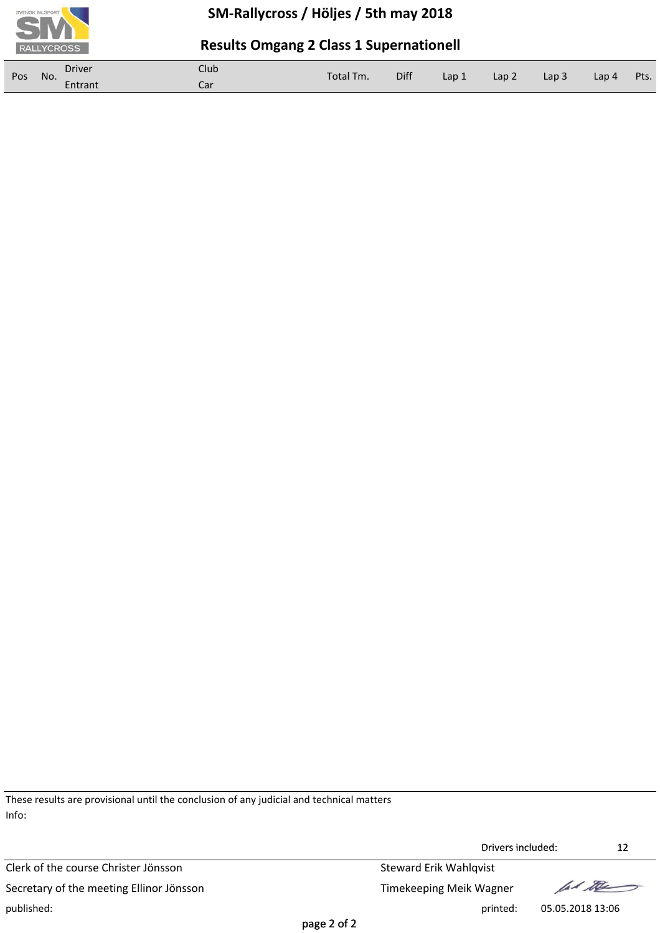

### **Results Omgang 2 Class 1 Supernationell**

| Pos | No. | <b>Driver</b> | Club | Total Tm. | Diff | Lap 1 | Lap <sub>2</sub> | Lap <sub>3</sub> | Lap 4 | Pts. |
|-----|-----|---------------|------|-----------|------|-------|------------------|------------------|-------|------|
|     |     | Entrant       | Car  |           |      |       |                  |                  |       |      |

These results are provisional until the conclusion of any judicial and technical matters Info:

Clerk of the course Christer Jönsson Steward Erik Wahlqvist Secretary of the meeting Ellinor Jönsson Timekeeping Meik Wagner published: printed: 05.05.2018 13:06



Drivers included: 12 Drivers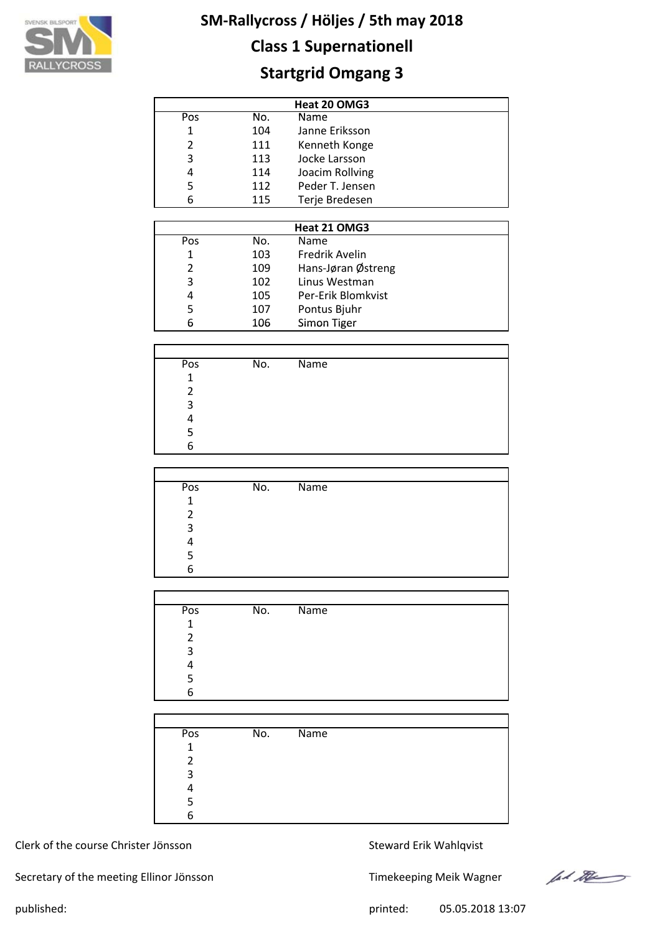

## **Class 1 Supernationell**

## **Startgrid Omgang 3**

| Heat 20 OMG3 |     |                 |  |  |  |  |  |
|--------------|-----|-----------------|--|--|--|--|--|
| Pos          | No. | Name            |  |  |  |  |  |
| 1            | 104 | Janne Eriksson  |  |  |  |  |  |
| 2<br>111     |     | Kenneth Konge   |  |  |  |  |  |
| 3            | 113 | Jocke Larsson   |  |  |  |  |  |
| 4            | 114 | Joacim Rollving |  |  |  |  |  |
| 5            | 112 | Peder T. Jensen |  |  |  |  |  |
| 6            | 115 | Terje Bredesen  |  |  |  |  |  |

|     | Heat 21 OMG3 |                    |  |  |  |
|-----|--------------|--------------------|--|--|--|
| Pos | No.          | <b>Name</b>        |  |  |  |
|     | 103          | Fredrik Avelin     |  |  |  |
| 2   | 109          | Hans-Jøran Østreng |  |  |  |
| 3   | 102          | Linus Westman      |  |  |  |
| 4   | 105          | Per-Erik Blomkvist |  |  |  |
| 5   | 107          | Pontus Bjuhr       |  |  |  |
| 6   | 106          | Simon Tiger        |  |  |  |

| Pos            | No. | <b>Name</b> |  |
|----------------|-----|-------------|--|
| 1              |     |             |  |
| $\mathfrak{p}$ |     |             |  |
| 3              |     |             |  |
|                |     |             |  |
|                |     |             |  |
| 6              |     |             |  |

| Pos | No. | $\overline{\mathsf{Name}}$ |
|-----|-----|----------------------------|
| 1   |     |                            |
| 2   |     |                            |
| 3   |     |                            |
|     |     |                            |
| 5   |     |                            |
| 6   |     |                            |

| Pos          | No. | Name |
|--------------|-----|------|
| $\mathbf{1}$ |     |      |
| 2            |     |      |
| 3            |     |      |
| Λ            |     |      |
| 5            |     |      |
| 6            |     |      |
|              |     |      |

| Pos          | No. | $\overline{\mathsf{Name}}$ |  |
|--------------|-----|----------------------------|--|
| $\mathbf{1}$ |     |                            |  |
| 2            |     |                            |  |
| 3            |     |                            |  |
|              |     |                            |  |
|              |     |                            |  |
| 6            |     |                            |  |

#### Clerk of the course Christer Jönsson Steward Erik Wahlqvist

Secretary of the meeting Ellinor Jönsson Timekeeping Meik Wagner



published: 05.05.2018 13:07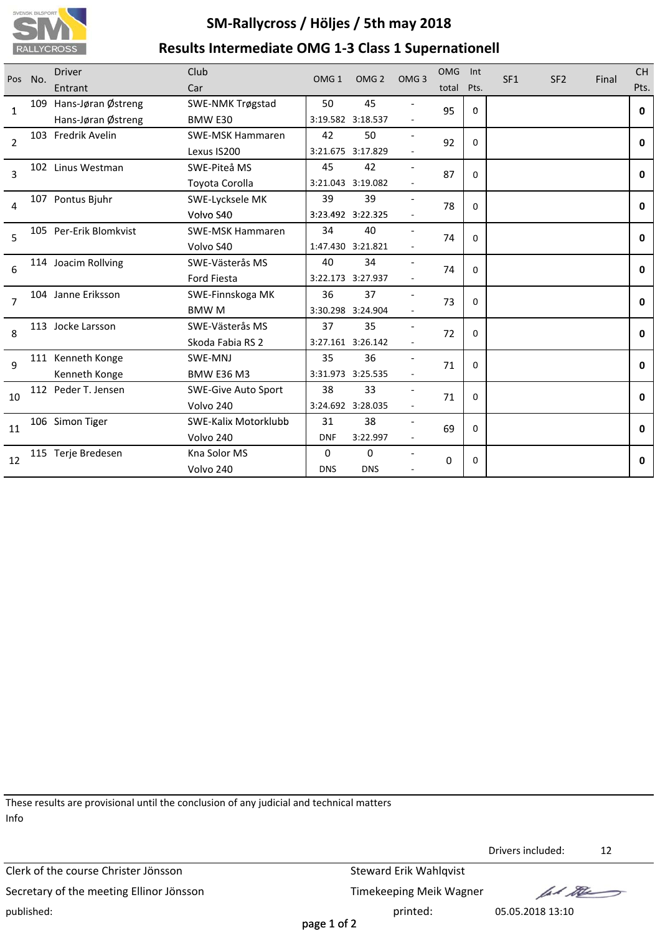

## **SM‐Rallycross / Höljes / 5th may 2018 Results Intermediate OMG 1‐3 Class 1 Supernationell**

| Pos            | No. | <b>Driver</b><br>Entrant                     | Club<br>Car                             | OMG <sub>1</sub> | OMG <sub>2</sub>          | OMG <sub>3</sub> | <b>OMG</b><br>total | Int<br>Pts. | SF <sub>1</sub> | SF <sub>2</sub> | Final | <b>CH</b><br>Pts. |
|----------------|-----|----------------------------------------------|-----------------------------------------|------------------|---------------------------|------------------|---------------------|-------------|-----------------|-----------------|-------|-------------------|
| $\mathbf{1}$   |     | 109 Hans-Jøran Østreng<br>Hans-Jøran Østreng | <b>SWE-NMK Trøgstad</b><br>BMW E30      | 50               | 45<br>3:19.582 3:18.537   |                  | 95                  | $\Omega$    |                 |                 |       | 0                 |
| $\overline{2}$ |     | 103 Fredrik Avelin                           | <b>SWE-MSK Hammaren</b><br>Lexus IS200  | 42               | 50<br>3:21.675 3:17.829   |                  | 92                  | $\mathbf 0$ |                 |                 |       | $\mathbf{0}$      |
| 3              |     | 102 Linus Westman                            | SWE-Piteå MS<br>Toyota Corolla          | 45               | 42<br>3:21.043 3:19.082   |                  | 87                  | $\Omega$    |                 |                 |       | 0                 |
| 4              |     | 107 Pontus Bjuhr                             | SWE-Lycksele MK<br>Volvo S40            | 39               | 39<br>3:23.492 3:22.325   |                  | 78                  | $\mathbf 0$ |                 |                 |       | 0                 |
| 5              |     | 105 Per-Erik Blomkvist                       | <b>SWE-MSK Hammaren</b><br>Volvo S40    | 34               | 40<br>1:47.430 3:21.821   |                  | 74                  | $\mathbf 0$ |                 |                 |       | 0                 |
| 6              |     | 114 Joacim Rollving                          | SWE-Västerås MS<br>Ford Fiesta          | 40               | 34<br>3:22.173 3:27.937   |                  | 74                  | $\Omega$    |                 |                 |       | 0                 |
| $\overline{7}$ |     | 104 Janne Eriksson                           | SWE-Finnskoga MK<br><b>BMWM</b>         | 36               | 37<br>3:30.298 3:24.904   |                  | 73                  | $\Omega$    |                 |                 |       | $\mathbf{0}$      |
| 8              |     | 113 Jocke Larsson                            | SWE-Västerås MS<br>Skoda Fabia RS 2     | 37               | 35<br>3:27.161 3:26.142   |                  | 72                  | $\Omega$    |                 |                 |       | 0                 |
| 9              |     | 111 Kenneth Konge<br>Kenneth Konge           | SWE-MNJ<br><b>BMW E36 M3</b>            | 35               | 36<br>3:31.973 3:25.535   |                  | 71                  | $\mathbf 0$ |                 |                 |       | 0                 |
| 10             |     | 112 Peder T. Jensen                          | <b>SWE-Give Auto Sport</b><br>Volvo 240 | 38               | 33<br>3:24.692 3:28.035   |                  | 71                  | $\Omega$    |                 |                 |       | $\mathbf{0}$      |
| 11             |     | 106 Simon Tiger                              | SWE-Kalix Motorklubb<br>Volvo 240       | 31<br><b>DNF</b> | 38<br>3:22.997            |                  | 69                  | 0           |                 |                 |       | 0                 |
| 12             |     | 115 Terje Bredesen                           | Kna Solor MS<br>Volvo 240               | 0<br><b>DNS</b>  | $\mathbf 0$<br><b>DNS</b> |                  | 0                   | 0           |                 |                 |       | 0                 |

These results are provisional until the conclusion of any judicial and technical matters Info

Clerk of the course Christer Jönsson Steward Erik Wahlqvist Secretary of the meeting Ellinor Jönsson Timekeeping Meik Wagner published: printed: 05.05.2018 13:10

Drivers included: 12

lad the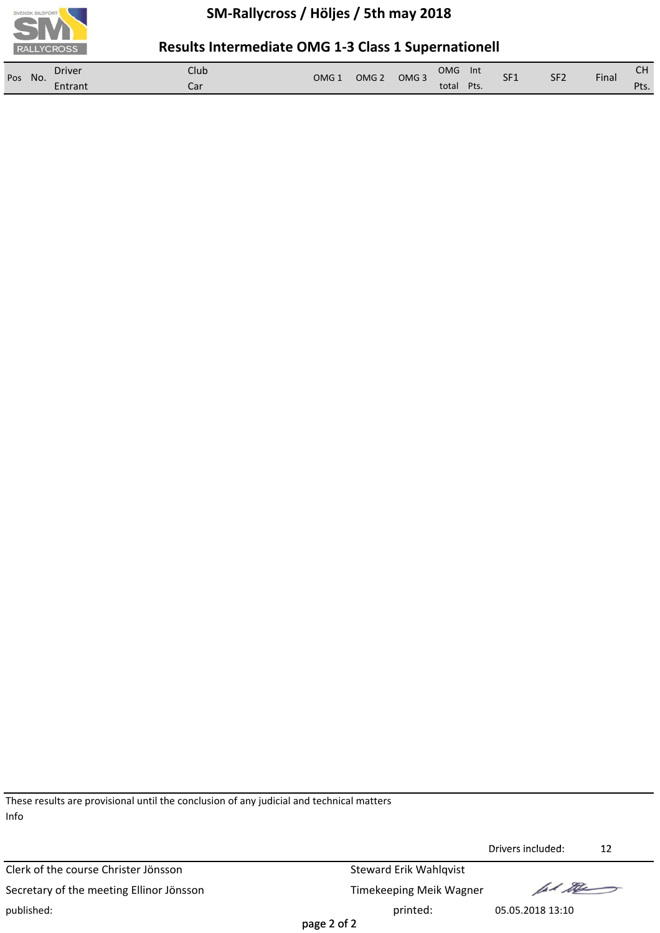

### **Results Intermediate OMG 1‐3 Class 1 Supernationell**

| Pos<br>No. | Driver  | Club | OMG : | OMG <sub>2</sub> | OMG <sub>3</sub> | <b>OMG</b> | Int  | SF <sub>1</sub> | SF <sub>2</sub> | Final | $\sim$                   |
|------------|---------|------|-------|------------------|------------------|------------|------|-----------------|-----------------|-------|--------------------------|
|            | Entrant | Cai. |       |                  |                  | total      | Pts. |                 |                 |       | D <sub>tc</sub><br>∶ ເວ. |

These results are provisional until the conclusion of any judicial and technical matters Info

Clerk of the course Christer Jönsson Steward Erik Wahlqvist Secretary of the meeting Ellinor Jönsson Timekeeping Meik Wagner published: printed: 05.05.2018 13:10

Drivers included: 12 Drivers

fal the

page 2 of 2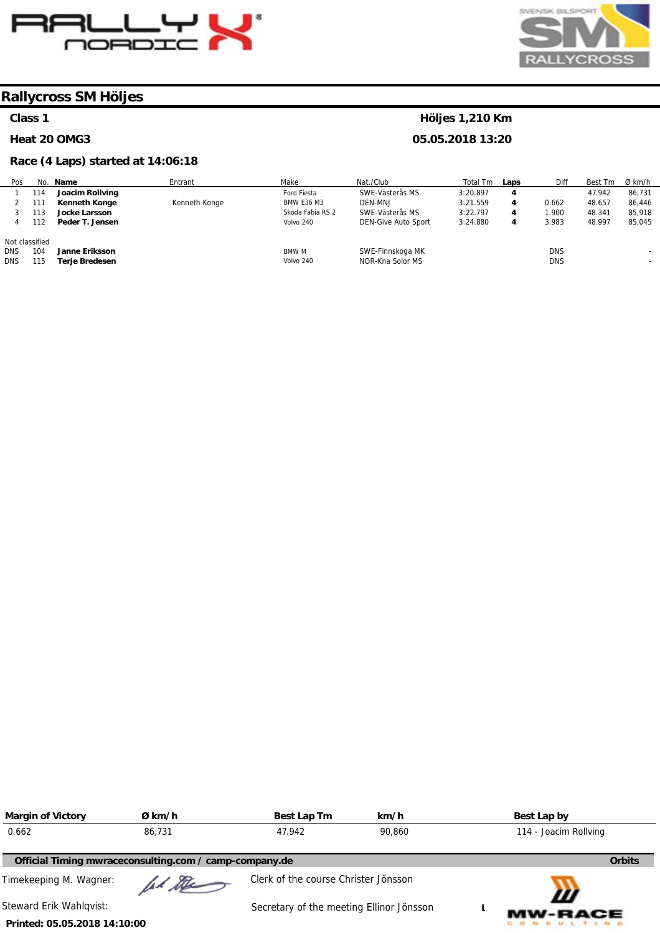



#### **Class 1**

#### **Heat 20 OMG3**

#### **Race (4 Laps) started at 14:06:18**

| Pos            |     | No. Name             | Entrant       | Make              | Nat./Club                  | Total Tm | Laps | Diff       | Best Tm | Ø km/h |
|----------------|-----|----------------------|---------------|-------------------|----------------------------|----------|------|------------|---------|--------|
|                | 114 | Joacim Rollving      |               | Ford Fiesta       | SWE-Västerås MS            | 3:20.897 | 4    |            | 47.942  | 86,731 |
|                | 111 | <b>Kenneth Konge</b> | Kenneth Konge | <b>BMW E36 M3</b> | DEN-MNJ                    | 3:21.559 | 4    | 0.662      | 48.657  | 86,446 |
|                | 113 | <b>Jocke Larsson</b> |               | Skoda Fabia RS 2  | SWE-Västerås MS            | 3:22.797 | 4    | .900       | 48.341  | 85,918 |
|                | 112 | Peder T. Jensen      |               | Volvo 240         | <b>DEN-Give Auto Sport</b> | 3:24.880 | 4    | 3.983      | 48.997  | 85,045 |
| Not classified |     |                      |               |                   |                            |          |      |            |         |        |
| <b>DNS</b>     | 104 | Janne Eriksson       |               | <b>BMW M</b>      | SWE-Finnskoga MK           |          |      | <b>DNS</b> |         |        |
| <b>DNS</b>     | 115 | Terje Bredesen       |               | Volvo 240         | NOR-Kna Solor MS           |          |      | <b>DNS</b> |         |        |

| <b>Margin of Victory</b>     | Ø km/h                                                 | Best Lap Tm                              | km/h   | Best Lap by |                       |
|------------------------------|--------------------------------------------------------|------------------------------------------|--------|-------------|-----------------------|
| 0.662                        | 86.731                                                 | 47.942                                   | 90.860 |             | 114 - Joacim Rollving |
|                              | Official Timing mwraceconsulting.com / camp-company.de |                                          |        |             | <b>Orbits</b>         |
| Timekeeping M. Wagner:       | Il the                                                 | Clerk of the course Christer Jönsson     |        |             | Ш                     |
| Steward Erik Wahlgvist:      |                                                        | Secretary of the meeting Ellinor Jönsson |        |             | <b>MW-RACE</b>        |
| Printed: 05.05.2018 14:10:00 |                                                        |                                          |        |             |                       |

#### **Höljes 1,210 Km**

**05.05.2018 13:20**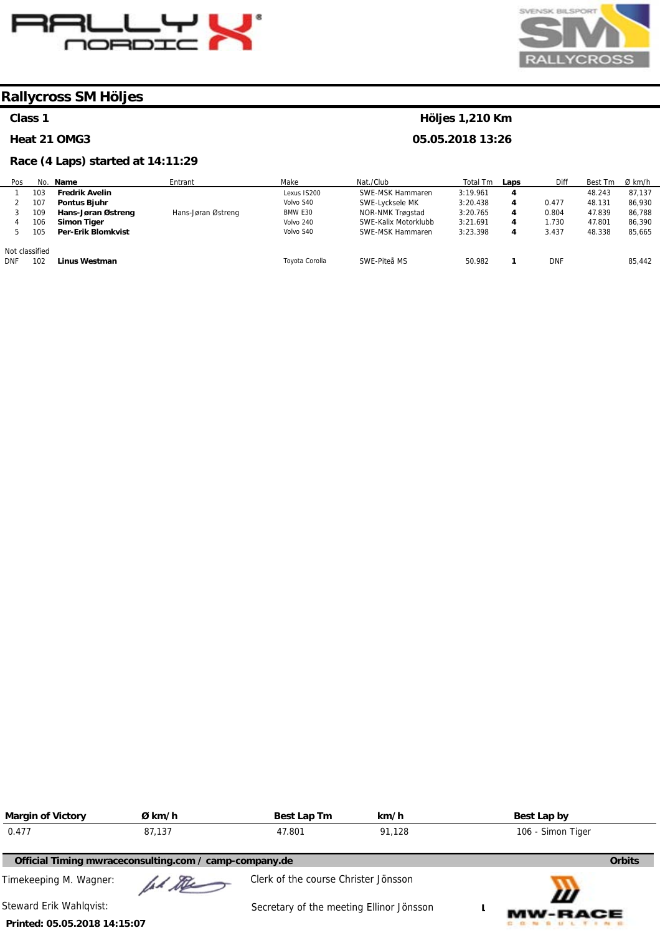



#### **Class 1**

Pos 1

#### **Heat 21 OMG3**

No.

#### **Race (4 Laps) started at 14:11:29**

#### 103 **Fredrik Avelin Name**  Entrant Make Lexus IS200 Nat./Club SWE-MSK Hammaren Total Tm 3:19.961 **Laps 4**  Diff Best Tm 48.243 Ø km/h 87,137

**Höljes 1,210 Km 05.05.2018 13:26** 

|                | 107 | <b>Pontus Biuhr</b> |                    | Volvo S40      | SWE-Lycksele MK      | 3:20.438 | 4 | 0.477  | 48.131 | 86.930 |
|----------------|-----|---------------------|--------------------|----------------|----------------------|----------|---|--------|--------|--------|
|                | 109 | Hans-Jøran Østreng  | Hans-Jøran Østreng | BMW E30        | NOR-NMK Trøgstad     | 3:20.765 | 4 | 0.804  | 47.839 | 86.788 |
|                | 106 | Simon Tiger         |                    | Volvo 240      | SWE-Kalix Motorklubb | 3:21.691 | 4 | . .730 | 47.801 | 86,390 |
|                | 105 | Per-Erik Blomkvist  |                    | Volvo S40      | SWE-MSK Hammaren     | 3:23.398 | 4 | 3.437  | 48.338 | 85.665 |
|                |     |                     |                    |                |                      |          |   |        |        |        |
| Not classified |     |                     |                    |                |                      |          |   |        |        |        |
| <b>DNF</b>     | 102 | Linus Westman       |                    | Toyota Corolla | SWE-Piteå MS         | 50.982   |   | DNF    |        | 85.442 |
|                |     |                     |                    |                |                      |          |   |        |        |        |

| <b>Margin of Victory</b>                               | Ø km/h  | Best Lap Tm                              | km/h   | Best Lap by       |
|--------------------------------------------------------|---------|------------------------------------------|--------|-------------------|
| 0.477                                                  | 87.137  | 47.801                                   | 91.128 | 106 - Simon Tiger |
| Official Timing mwraceconsulting.com / camp-company.de |         |                                          |        | <b>Orbits</b>     |
| Timekeeping M. Wagner:                                 | had the | Clerk of the course Christer Jönsson     |        | Ш                 |
| Steward Erik Wahlqvist:                                |         | Secretary of the meeting Ellinor Jönsson |        | <b>MW-RACE</b>    |
| Printed: 05.05.2018 14:15:07                           |         |                                          |        |                   |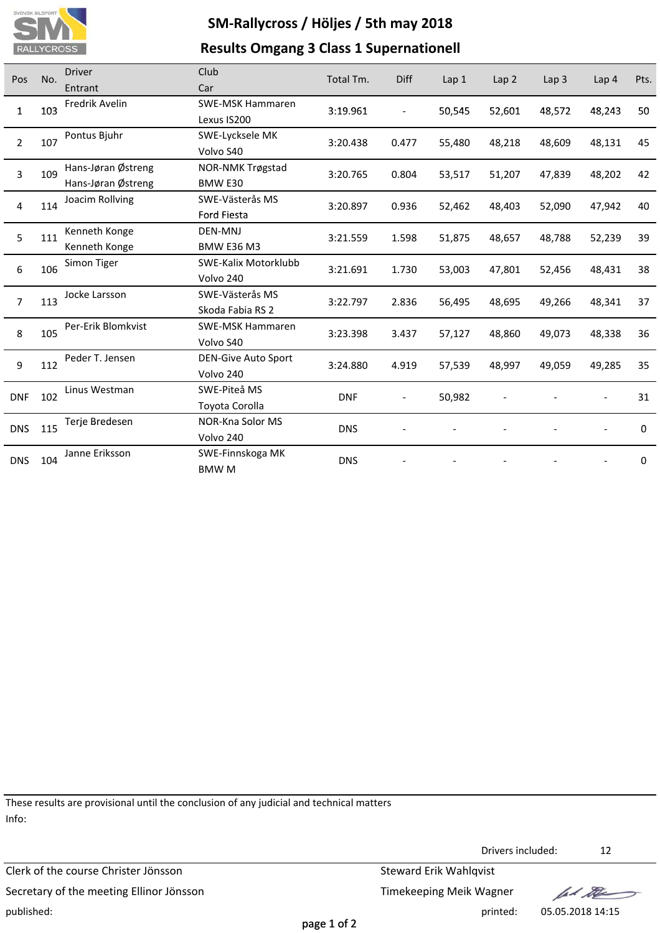

### **Results Omgang 3 Class 1 Supernationell**

| Pos            | No. | <b>Driver</b>      | Club                       | Total Tm.  | <b>Diff</b>              | Lap1   | Lap <sub>2</sub> | Lap <sub>3</sub> | Lap 4  | Pts.     |
|----------------|-----|--------------------|----------------------------|------------|--------------------------|--------|------------------|------------------|--------|----------|
|                |     | Entrant            | Car                        |            |                          |        |                  |                  |        |          |
| $\mathbf{1}$   | 103 | Fredrik Avelin     | <b>SWE-MSK Hammaren</b>    | 3:19.961   | $\overline{\phantom{a}}$ | 50,545 | 52,601           | 48,572           | 48,243 | 50       |
|                |     |                    | Lexus IS200                |            |                          |        |                  |                  |        |          |
| $\overline{2}$ | 107 | Pontus Bjuhr       | SWE-Lycksele MK            | 3:20.438   | 0.477                    | 55,480 | 48,218           | 48,609           | 48,131 | 45       |
|                |     |                    | Volvo S40                  |            |                          |        |                  |                  |        |          |
| 3              | 109 | Hans-Jøran Østreng | <b>NOR-NMK Trøgstad</b>    | 3:20.765   | 0.804                    | 53,517 | 51,207           | 47,839           | 48,202 | 42       |
|                |     | Hans-Jøran Østreng | BMW E30                    |            |                          |        |                  |                  |        |          |
| 4              | 114 | Joacim Rollving    | SWE-Västerås MS            | 3:20.897   | 0.936                    | 52,462 | 48,403           | 52,090           | 47,942 | 40       |
|                |     |                    | <b>Ford Fiesta</b>         |            |                          |        |                  |                  |        |          |
| 5              | 111 | Kenneth Konge      | <b>DEN-MNJ</b>             | 3:21.559   | 1.598                    | 51,875 | 48,657           | 48,788           | 52,239 | 39       |
|                |     | Kenneth Konge      | <b>BMW E36 M3</b>          |            |                          |        |                  |                  |        |          |
| 6              | 106 | Simon Tiger        | SWE-Kalix Motorklubb       | 3:21.691   | 1.730                    | 53,003 | 47,801           | 52,456           | 48,431 | 38       |
|                |     |                    | Volvo 240                  |            |                          |        |                  |                  |        |          |
| $\overline{7}$ | 113 | Jocke Larsson      | SWE-Västerås MS            | 3:22.797   | 2.836                    | 56,495 | 48,695           | 49,266           | 48,341 | 37       |
|                |     |                    | Skoda Fabia RS 2           |            |                          |        |                  |                  |        |          |
| 8              | 105 | Per-Erik Blomkvist | <b>SWE-MSK Hammaren</b>    | 3:23.398   | 3.437                    | 57,127 | 48,860           | 49,073           | 48,338 | 36       |
|                |     |                    | Volvo S40                  |            |                          |        |                  |                  |        |          |
| 9              | 112 | Peder T. Jensen    | <b>DEN-Give Auto Sport</b> | 3:24.880   | 4.919                    | 57,539 | 48,997           | 49,059           | 49,285 | 35       |
|                |     |                    | Volvo 240                  |            |                          |        |                  |                  |        |          |
| <b>DNF</b>     | 102 | Linus Westman      | SWE-Piteå MS               | <b>DNF</b> | $\overline{\phantom{0}}$ | 50,982 |                  |                  |        | 31       |
|                |     |                    | Toyota Corolla             |            |                          |        |                  |                  |        |          |
| <b>DNS</b>     | 115 | Terje Bredesen     | NOR-Kna Solor MS           | <b>DNS</b> |                          |        |                  |                  |        | $\Omega$ |
|                |     |                    | Volvo 240                  |            |                          |        |                  |                  |        |          |
| <b>DNS</b>     | 104 | Janne Eriksson     | SWE-Finnskoga MK           | <b>DNS</b> |                          |        |                  |                  |        | 0        |
|                |     |                    | <b>BMWM</b>                |            |                          |        |                  |                  |        |          |

These results are provisional until the conclusion of any judicial and technical matters Info:

Clerk of the course Christer Jönsson Steward Erik Wahlqvist Secretary of the meeting Ellinor Jönsson Secretary of the meeting Ellinor Jönsson published: printed: 05.05.2018 14:15

Drivers included: 12

fal the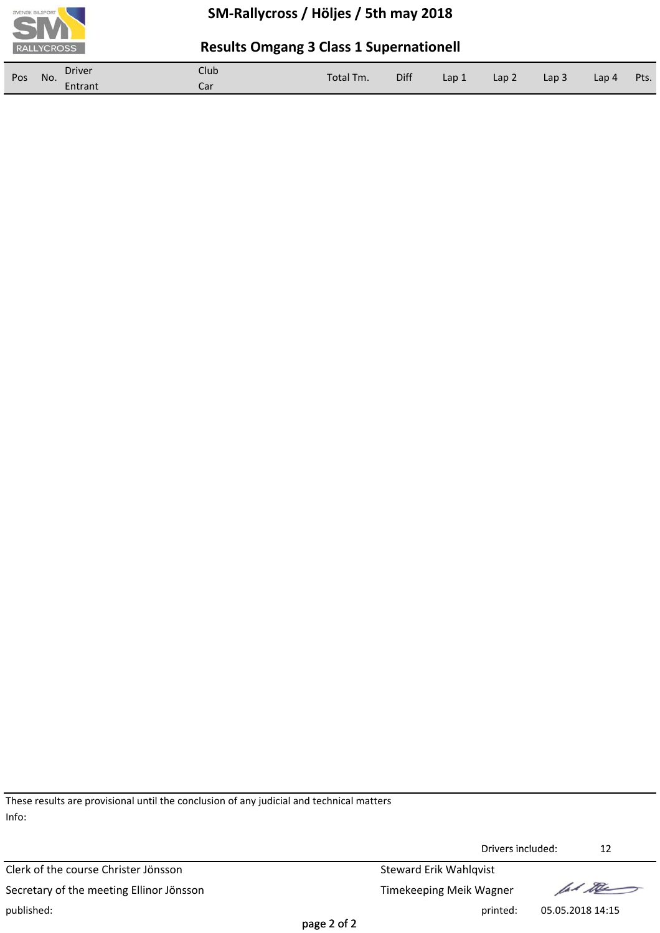

### **Results Omgang 3 Class 1 Supernationell**

| Pos | No. | <b>Driver</b> | Club | Total Tm. | Diff | Lap 1 | Lap <sub>2</sub> | Lap <sub>3</sub> | Lap 4 | Pts. |
|-----|-----|---------------|------|-----------|------|-------|------------------|------------------|-------|------|
|     |     | Entrant       | Car  |           |      |       |                  |                  |       |      |

These results are provisional until the conclusion of any judicial and technical matters Info:

Clerk of the course Christer Jönsson Steward Erik Wahlqvist Secretary of the meeting Ellinor Jönsson Secretary of the meeting Ellinor Jönsson published: printed: 05.05.2018 14:15

Drivers included: 12 Drivers

lad the

page 2 of 2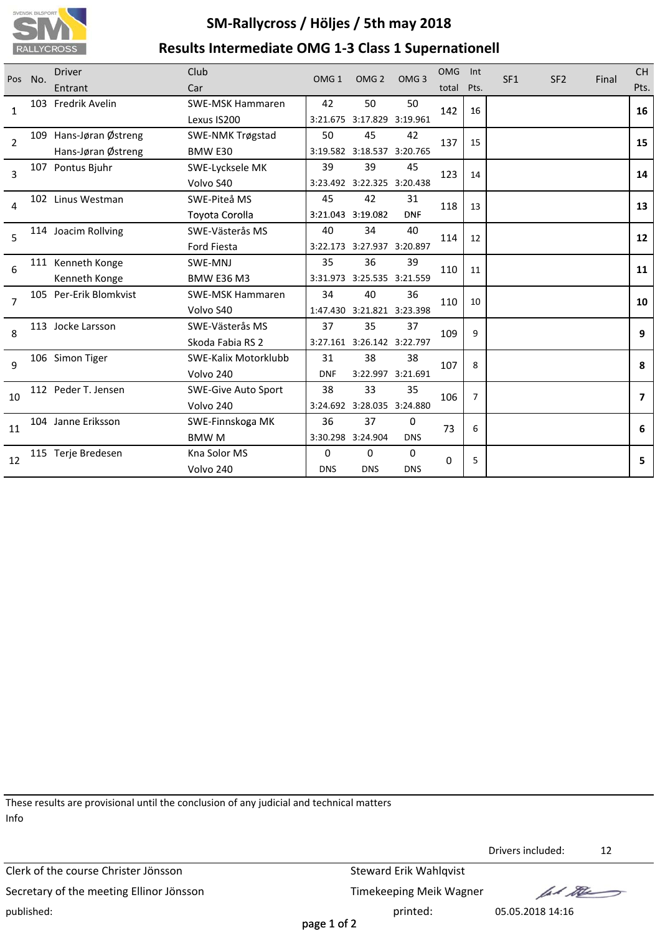

## **SM‐Rallycross / Höljes / 5th may 2018 Results Intermediate OMG 1‐3 Class 1 Supernationell**

| Pos            | No. | <b>Driver</b><br>Entrant                     | Club<br>Car                              | OMG <sub>1</sub> | OMG <sub>2</sub>                 | OMG <sub>3</sub>        | <b>OMG</b><br>total | Int<br>Pts.    | SF <sub>1</sub> | SF <sub>2</sub> | Final | <b>CH</b><br>Pts. |
|----------------|-----|----------------------------------------------|------------------------------------------|------------------|----------------------------------|-------------------------|---------------------|----------------|-----------------|-----------------|-------|-------------------|
| $\mathbf{1}$   |     | 103 Fredrik Avelin                           | <b>SWE-MSK Hammaren</b><br>Lexus IS200   | 42               | 50<br>3:21.675 3:17.829 3:19.961 | 50                      | 142                 | 16             |                 |                 |       | 16                |
| $\overline{2}$ |     | 109 Hans-Jøran Østreng<br>Hans-Jøran Østreng | <b>SWE-NMK Trøgstad</b><br>BMW E30       | 50               | 45<br>3:19.582 3:18.537 3:20.765 | 42                      | 137                 | 15             |                 |                 |       | 15                |
| 3              |     | 107 Pontus Bjuhr                             | SWE-Lycksele MK<br>Volvo S40             | 39               | 39<br>3:23.492 3:22.325 3:20.438 | 45                      | 123                 | 14             |                 |                 |       | 14                |
| 4              |     | 102 Linus Westman                            | SWE-Piteå MS<br><b>Toyota Corolla</b>    | 45               | 42<br>3:21.043 3:19.082          | 31<br><b>DNF</b>        | 118                 | 13             |                 |                 |       | 13                |
| 5              |     | 114 Joacim Rollving                          | SWE-Västerås MS<br>Ford Fiesta           | 40               | 34<br>3:22.173 3:27.937 3:20.897 | 40                      | 114                 | 12             |                 |                 |       | 12                |
| 6              |     | 111 Kenneth Konge<br>Kenneth Konge           | SWE-MNJ<br><b>BMW E36 M3</b>             | 35               | 36<br>3:31.973 3:25.535 3:21.559 | 39                      | 110                 | 11             |                 |                 |       | 11                |
| $\overline{7}$ |     | 105 Per-Erik Blomkvist                       | <b>SWE-MSK Hammaren</b><br>Volvo S40     | 34               | 40<br>1:47.430 3:21.821 3:23.398 | 36                      | 110                 | 10             |                 |                 |       | 10                |
| 8              |     | 113 Jocke Larsson                            | SWE-Västerås MS<br>Skoda Fabia RS 2      | 37               | 35<br>3:27.161 3:26.142 3:22.797 | 37                      | 109                 | 9              |                 |                 |       | 9                 |
| 9              |     | 106 Simon Tiger                              | <b>SWE-Kalix Motorklubb</b><br>Volvo 240 | 31<br><b>DNF</b> | 38                               | 38<br>3:22.997 3:21.691 | 107                 | 8              |                 |                 |       | 8                 |
| 10             |     | 112 Peder T. Jensen                          | <b>SWE-Give Auto Sport</b><br>Volvo 240  | 38               | 33<br>3:24.692 3:28.035 3:24.880 | 35                      | 106                 | $\overline{7}$ |                 |                 |       | $\overline{ }$    |
| 11             |     | 104 Janne Eriksson                           | SWE-Finnskoga MK<br><b>BMWM</b>          | 36               | 37<br>3:30.298 3:24.904          | 0<br><b>DNS</b>         | 73                  | 6              |                 |                 |       | 6                 |
| 12             |     | 115 Terje Bredesen                           | Kna Solor MS<br>Volvo 240                | 0<br><b>DNS</b>  | $\Omega$<br><b>DNS</b>           | $\Omega$<br><b>DNS</b>  | 0                   | 5              |                 |                 |       | 5                 |

These results are provisional until the conclusion of any judicial and technical matters Info

Clerk of the course Christer Jönsson Steward Erik Wahlqvist Secretary of the meeting Ellinor Jönsson Timekeeping Meik Wagner published: printed: 05.05.2018 14:16

Drivers included: 12

lad the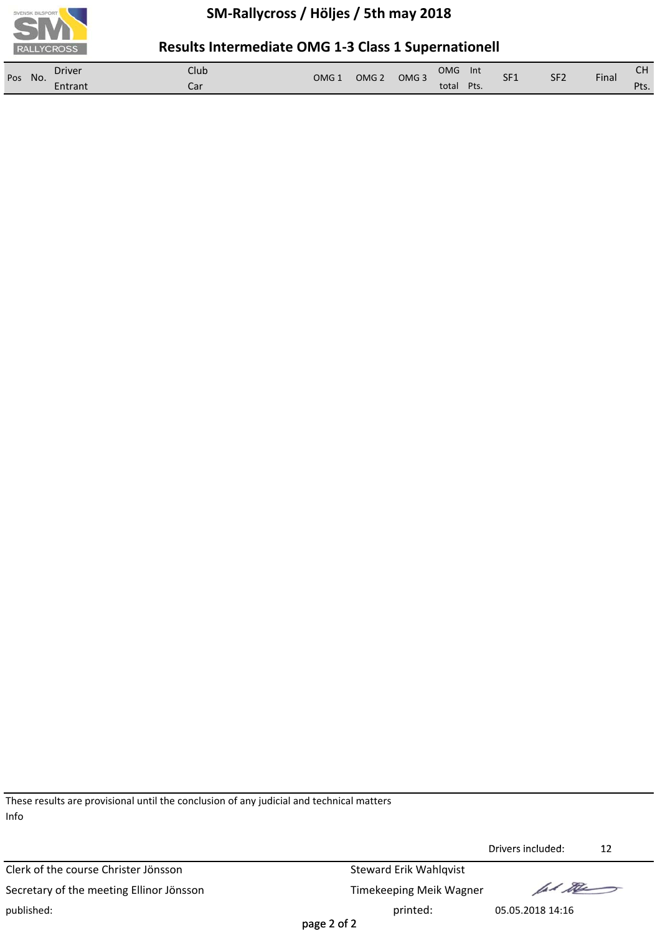

### **Results Intermediate OMG 1‐3 Class 1 Supernationell**

| Pos<br>No. | Driver  | Club | OMG : | OMG <sub>2</sub> | OMG <sub>3</sub> | <b>OMG</b> | Int  | SF <sub>1</sub> | SF <sub>2</sub> | Final | $\sim$                   |
|------------|---------|------|-------|------------------|------------------|------------|------|-----------------|-----------------|-------|--------------------------|
|            | Entrant | Cai. |       |                  |                  | total      | Pts. |                 |                 |       | D <sub>tc</sub><br>∶ ເວ. |

These results are provisional until the conclusion of any judicial and technical matters Info

Clerk of the course Christer Jönsson Steward Erik Wahlqvist Secretary of the meeting Ellinor Jönsson Timekeeping Meik Wagner published: printed: 05.05.2018 14:16

Drivers included: 12 Drivers

ford the

page 2 of 2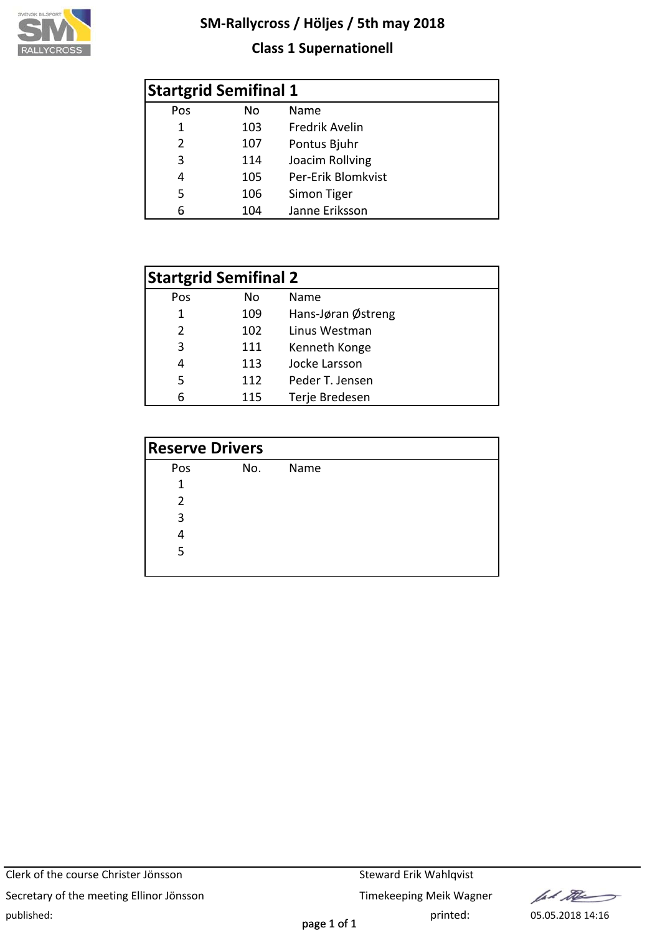

### **Class 1 Supernationell**

|                | <b>Startgrid Semifinal 1</b> |                    |  |  |  |  |  |  |  |
|----------------|------------------------------|--------------------|--|--|--|--|--|--|--|
| Pos            | No.                          | Name               |  |  |  |  |  |  |  |
| 1              | 103                          | Fredrik Avelin     |  |  |  |  |  |  |  |
| $\overline{2}$ | 107                          | Pontus Bjuhr       |  |  |  |  |  |  |  |
| 3              | 114                          | Joacim Rollving    |  |  |  |  |  |  |  |
| 4              | 105                          | Per-Erik Blomkvist |  |  |  |  |  |  |  |
| 5              | 106                          | Simon Tiger        |  |  |  |  |  |  |  |
| 6              | 104                          | Janne Eriksson     |  |  |  |  |  |  |  |

|               | <b>Startgrid Semifinal 2</b> |                    |  |  |  |  |  |  |  |  |  |
|---------------|------------------------------|--------------------|--|--|--|--|--|--|--|--|--|
| Pos           | Nο                           | Name               |  |  |  |  |  |  |  |  |  |
| 1             | 109                          | Hans-Jøran Østreng |  |  |  |  |  |  |  |  |  |
| $\mathcal{P}$ | 102                          | Linus Westman      |  |  |  |  |  |  |  |  |  |
| 3             | 111                          | Kenneth Konge      |  |  |  |  |  |  |  |  |  |
| 4             | 113                          | Jocke Larsson      |  |  |  |  |  |  |  |  |  |
| 5             | 112                          | Peder T. Jensen    |  |  |  |  |  |  |  |  |  |
|               | 115                          | Terje Bredesen     |  |  |  |  |  |  |  |  |  |

| <b>Reserve Drivers</b> |     |      |  |  |  |  |  |  |  |
|------------------------|-----|------|--|--|--|--|--|--|--|
| Pos                    | No. | Name |  |  |  |  |  |  |  |
| 1                      |     |      |  |  |  |  |  |  |  |
| $\mathfrak z$          |     |      |  |  |  |  |  |  |  |
| 3                      |     |      |  |  |  |  |  |  |  |
| 4                      |     |      |  |  |  |  |  |  |  |
| 5                      |     |      |  |  |  |  |  |  |  |
|                        |     |      |  |  |  |  |  |  |  |

Clerk of the course Christer Jönsson Steward Erik Wahlqvist Secretary of the meeting Ellinor Jönsson Timekeeping Meik Wagner published: printed: 05.05.2018 14:16

for the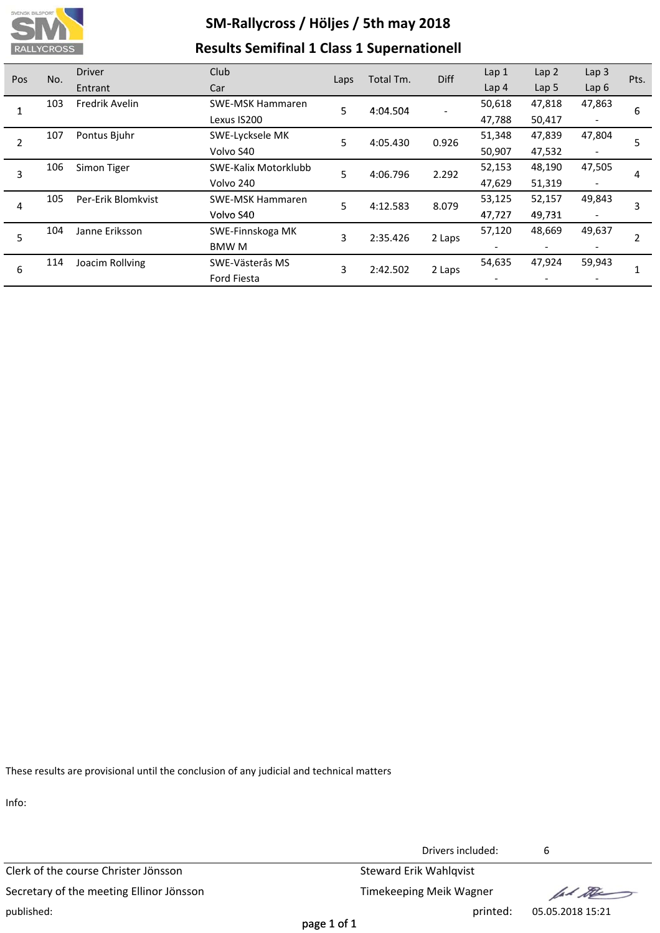

## **SM‐Rallycross / Höljes / 5th may 2018 Results Semifinal 1 Class 1 Supernationell**

| Pos | No. | <b>Driver</b>      | Club                 | Laps | Total Tm. | Diff   | Lap <sub>1</sub> | Lap <sub>2</sub> | Lap <sub>3</sub>         | Pts. |
|-----|-----|--------------------|----------------------|------|-----------|--------|------------------|------------------|--------------------------|------|
|     |     | Entrant            | Car                  |      |           |        | Lap <sub>4</sub> | Lap <sub>5</sub> | Lap $6$                  |      |
|     | 103 | Fredrik Avelin     | SWE-MSK Hammaren     | 5    | 4:04.504  |        | 50,618           | 47,818           | 47,863                   | 6    |
|     |     |                    | Lexus IS200          |      |           |        | 47,788           | 50,417           | $\overline{\phantom{a}}$ |      |
| 2   | 107 | Pontus Bjuhr       | SWE-Lycksele MK      | 5    | 4:05.430  | 0.926  | 51,348           | 47,839           | 47,804                   | 5    |
|     |     |                    | Volvo S40            |      |           |        | 50,907           | 47,532           |                          |      |
| 3   | 106 | Simon Tiger        | SWE-Kalix Motorklubb | 5    | 4:06.796  | 2.292  | 52,153           | 48,190           | 47,505                   | 4    |
|     |     |                    | Volvo 240            |      |           |        | 47,629           | 51,319           |                          |      |
| 4   | 105 | Per-Erik Blomkvist | SWE-MSK Hammaren     | 5    | 4:12.583  | 8.079  | 53,125           | 52,157           | 49,843                   | 3    |
|     |     |                    | Volvo S40            |      |           |        | 47,727           | 49,731           |                          |      |
| 5   | 104 | Janne Eriksson     | SWE-Finnskoga MK     | 3    | 2:35.426  | 2 Laps | 57,120           | 48,669           | 49,637                   |      |
|     |     |                    | BMW M                |      |           |        |                  |                  |                          |      |
| 6   | 114 | Joacim Rollving    | SWE-Västerås MS      | 3    | 2:42.502  | 2 Laps | 54,635           | 47,924           | 59,943                   |      |
|     |     |                    | <b>Ford Fiesta</b>   |      |           |        |                  |                  |                          |      |

These results are provisional until the conclusion of any judicial and technical matters

Info:

Clerk of the course Christer Jönsson Steward Erik Wahlqvist Secretary of the meeting Ellinor Jönsson Timekeeping Meik Wagner published: printed: 05.05.2018 15:21

Drivers included: 6

fel the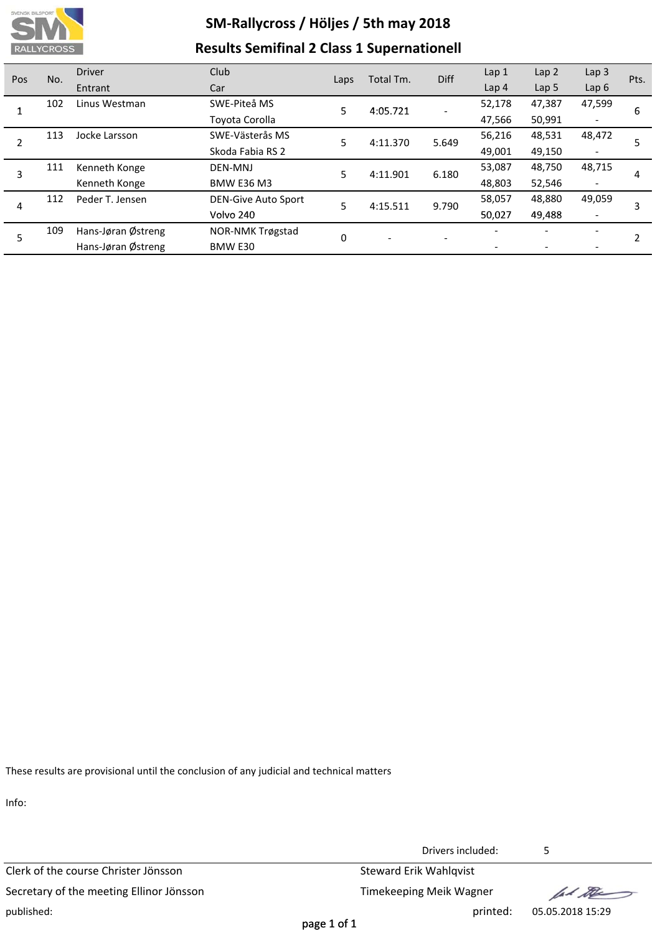

## **SM‐Rallycross / Höljes / 5th may 2018 Results Semifinal 2 Class 1 Supernationell**

| Pos | No. | <b>Driver</b>      | Club                       | Laps | Total Tm.                | <b>Diff</b> | Lap 1            | Lap <sub>2</sub> | Lap <sub>3</sub>         | Pts. |
|-----|-----|--------------------|----------------------------|------|--------------------------|-------------|------------------|------------------|--------------------------|------|
|     |     | Entrant            | Car                        |      |                          |             | Lap <sub>4</sub> | Lap <sub>5</sub> | Lap $6$                  |      |
|     | 102 | Linus Westman      | SWE-Piteå MS               | 5    | 4:05.721                 |             | 52,178           | 47,387           | 47,599                   | 6    |
|     |     |                    | Toyota Corolla             |      |                          |             | 47,566           | 50,991           | -                        |      |
| 2   | 113 | Jocke Larsson      | SWE-Västerås MS            | 5    | 4:11.370                 | 5.649       | 56,216           | 48,531           | 48,472                   |      |
|     |     |                    | Skoda Fabia RS 2           |      |                          |             | 49,001           | 49,150           | $\overline{\phantom{a}}$ |      |
| 3   | 111 | Kenneth Konge      | DEN-MNJ                    | 5    | 4:11.901                 | 6.180       | 53,087           | 48,750           | 48,715                   | 4    |
|     |     | Kenneth Konge      | <b>BMW E36 M3</b>          |      |                          |             | 48,803           | 52,546           | $\overline{\phantom{a}}$ |      |
| 4   | 112 | Peder T. Jensen    | <b>DEN-Give Auto Sport</b> | 5    | 4:15.511                 | 9.790       | 58,057           | 48,880           | 49,059                   | 3    |
|     |     |                    | Volvo 240                  |      |                          |             | 50,027           | 49,488           | $\overline{\phantom{a}}$ |      |
| 5   | 109 | Hans-Jøran Østreng | NOR-NMK Trøgstad           | 0    | $\overline{\phantom{a}}$ |             |                  |                  |                          |      |
|     |     | Hans-Jøran Østreng | BMW E30                    |      |                          |             |                  |                  | $\overline{\phantom{a}}$ |      |

These results are provisional until the conclusion of any judicial and technical matters

Info:

Clerk of the course Christer Jönsson Steward Erik Wahlqvist Secretary of the meeting Ellinor Jönsson Timekeeping Meik Wagner published: printed: 05.05.2018 15:29

Drivers included: 5

ford the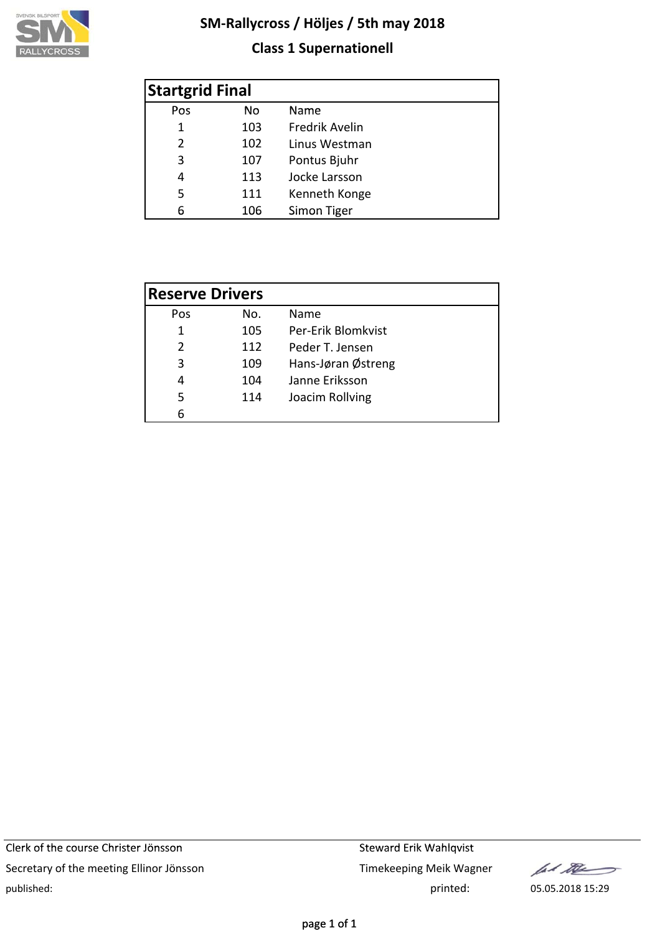

### **Class 1 Supernationell**

| <b>Startgrid Final</b> |     |                |  |  |  |  |  |  |  |
|------------------------|-----|----------------|--|--|--|--|--|--|--|
| Pos                    | No  | Name           |  |  |  |  |  |  |  |
| 1                      | 103 | Fredrik Avelin |  |  |  |  |  |  |  |
| $\mathcal{P}$          | 102 | Linus Westman  |  |  |  |  |  |  |  |
| 3                      | 107 | Pontus Bjuhr   |  |  |  |  |  |  |  |
| 4                      | 113 | Jocke Larsson  |  |  |  |  |  |  |  |
| 5                      | 111 | Kenneth Konge  |  |  |  |  |  |  |  |
| 6                      | 106 | Simon Tiger    |  |  |  |  |  |  |  |

| <b>Reserve Drivers</b> |     |                    |
|------------------------|-----|--------------------|
| Pos                    | No. | Name               |
| 1                      | 105 | Per-Erik Blomkvist |
| $\mathcal{P}$          | 112 | Peder T. Jensen    |
| 3                      | 109 | Hans-Jøran Østreng |
| 4                      | 104 | Janne Eriksson     |
| 5                      | 114 | Joacim Rollving    |
| հ                      |     |                    |

let the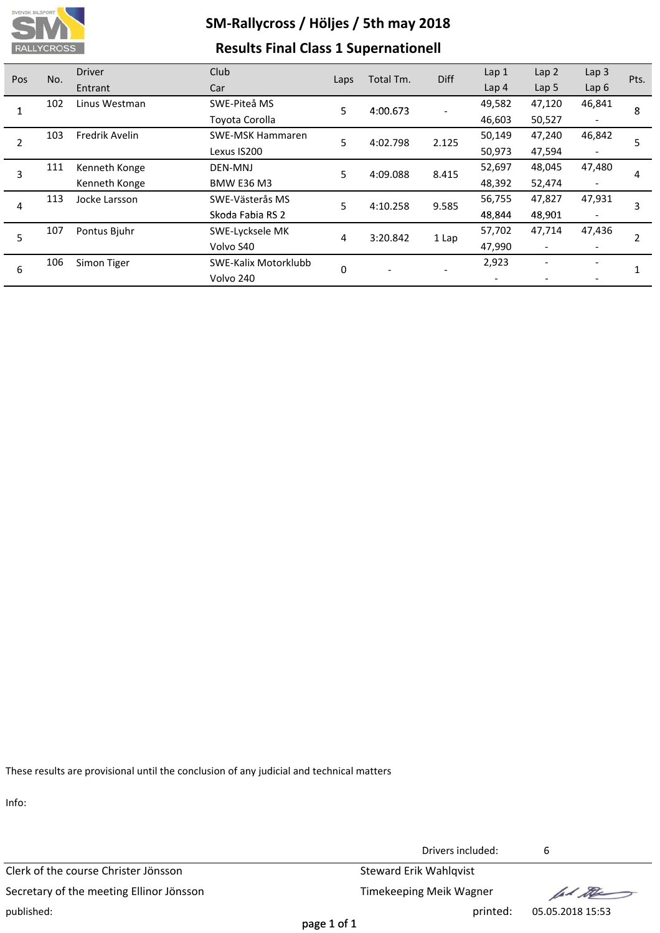

### **Results Final Class 1 Supernationell**

| Pos                  | No.            | <b>Driver</b>           | Club                 | Laps     | Total Tm. | <b>Diff</b> | Lap <sub>1</sub>         | Lap <sub>2</sub>         | Lap <sub>3</sub> | Pts. |
|----------------------|----------------|-------------------------|----------------------|----------|-----------|-------------|--------------------------|--------------------------|------------------|------|
|                      |                | Entrant                 | Car                  |          |           |             | Lap <sub>4</sub>         | Lap <sub>5</sub>         | Lap $6$          |      |
| 102                  |                | Linus Westman           | SWE-Piteå MS         | 5.       | 4:00.673  |             | 49,582                   | 47,120                   | 46,841           | 8    |
|                      |                | Toyota Corolla          |                      |          |           | 46,603      | 50,527                   |                          |                  |      |
| 103<br>$\mathcal{P}$ | Fredrik Avelin | <b>SWE-MSK Hammaren</b> | 5                    | 4:02.798 | 2.125     | 50,149      | 47,240                   | 46,842                   |                  |      |
|                      |                |                         | Lexus IS200          |          |           |             | 50,973                   | 47,594                   |                  |      |
| 111<br>3             | Kenneth Konge  | DEN-MNJ                 | 5                    | 4:09.088 | 8.415     | 52,697      | 48,045                   | 47,480                   | 4                |      |
|                      |                | Kenneth Konge           | <b>BMW E36 M3</b>    |          |           |             | 48,392                   | 52,474                   |                  |      |
| 113<br>4             | Jocke Larsson  | SWE-Västerås MS         | 5                    | 4:10.258 | 9.585     | 56,755      | 47,827                   | 47,931                   | 3                |      |
|                      |                | Skoda Fabia RS 2        |                      |          |           | 48,844      | 48,901                   |                          |                  |      |
| 5                    | 107            | Pontus Bjuhr            | SWE-Lycksele MK      | 4        | 3:20.842  | 1 Lap       | 57,702                   | 47,714                   | 47,436           |      |
|                      |                | Volvo S40               |                      |          |           | 47,990      | $\overline{\phantom{a}}$ |                          |                  |      |
| 6                    | 106            | Simon Tiger             | SWE-Kalix Motorklubb | $\Omega$ |           |             | 2,923                    | $\overline{\phantom{m}}$ |                  |      |
|                      |                |                         | Volvo 240            |          |           |             |                          |                          |                  |      |

These results are provisional until the conclusion of any judicial and technical matters

Info:

Clerk of the course Christer Jönsson Steward Erik Wahlqvist Secretary of the meeting Ellinor Jönsson Timekeeping Meik Wagner published: printed: 05.05.2018 15:53

Drivers included: 6

let the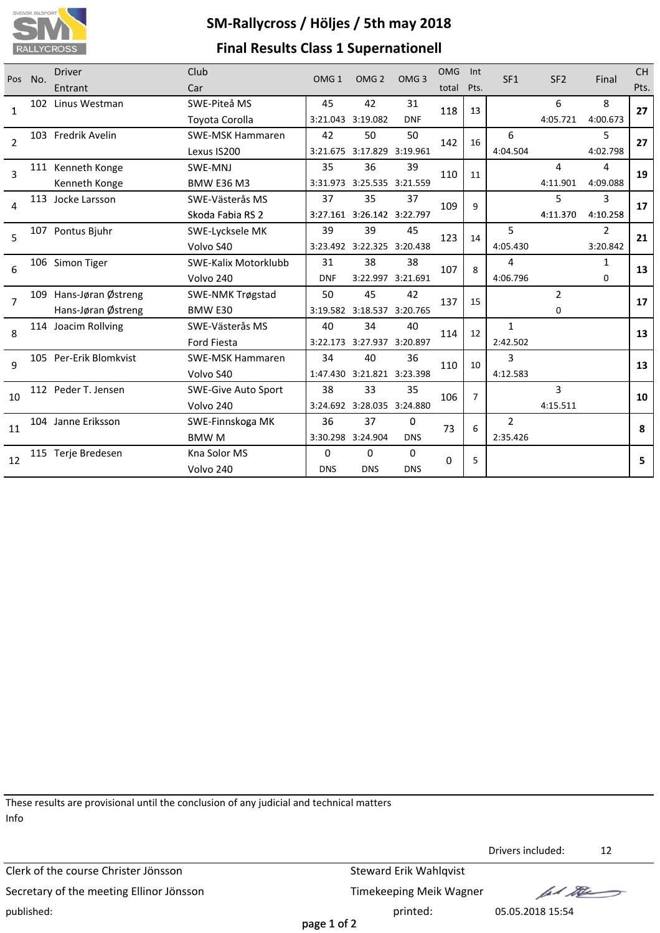

## **SM‐Rallycross / Höljes / 5th may 2018 Final Results Class 1 Supernationell**

| No.<br>Pos     |                     | <b>Driver</b>                           | Club                                             | OMG <sub>1</sub>           | OMG <sub>2</sub>           | OMG <sub>3</sub> | <b>OMG</b>     | Int            | SF1          | SF <sub>2</sub> | Final    | <b>CH</b> |
|----------------|---------------------|-----------------------------------------|--------------------------------------------------|----------------------------|----------------------------|------------------|----------------|----------------|--------------|-----------------|----------|-----------|
|                | Entrant             | Car                                     |                                                  |                            |                            | total            | Pts.           |                |              |                 |          |           |
| 1              | 102 Linus Westman   | SWE-Piteå MS                            | 45                                               | 42                         | 31                         | 118<br>13        |                |                | 6            | 8               | 27       |           |
|                |                     |                                         | Toyota Corolla                                   |                            | 3:21.043 3:19.082          | <b>DNF</b>       |                |                |              | 4:05.721        | 4:00.673 |           |
| $\overline{2}$ |                     | 103 Fredrik Avelin                      | <b>SWE-MSK Hammaren</b>                          | 42                         | 50                         | 50               | 142            | 16             | 6            |                 | 5        | 27        |
|                |                     | Lexus IS200                             |                                                  | 3:21.675 3:17.829 3:19.961 |                            |                  |                | 4:04.504       |              | 4:02.798        |          |           |
| 3              |                     | 111 Kenneth Konge                       | SWE-MNJ                                          | 35                         | 36                         | 39               | 110            | 11             |              | 4               | 4        | 19        |
|                |                     | Kenneth Konge                           | <b>BMW E36 M3</b>                                |                            | 3:31.973 3:25.535 3:21.559 |                  |                |                |              | 4:11.901        | 4:09.088 |           |
|                |                     | 113 Jocke Larsson                       | SWE-Västerås MS                                  | 37                         | 35                         | 37               | 109            | 9              |              | 5               | 3        | 17        |
|                | 4                   |                                         | Skoda Fabia RS 2                                 |                            | 3:27.161 3:26.142 3:22.797 |                  |                |                |              | 4:11.370        | 4:10.258 |           |
| 5              | 107 Pontus Bjuhr    | SWE-Lycksele MK                         | 39                                               | 39                         | 45                         | 123              | 14             | 5              |              | 2               | 21       |           |
|                |                     |                                         | Volvo S40                                        |                            | 3:23.492 3:22.325 3:20.438 |                  |                |                | 4:05.430     |                 | 3:20.842 |           |
| 6              | 106 Simon Tiger     | SWE-Kalix Motorklubb                    | 31                                               | 38                         | 38                         |                  | 107<br>8       | 4              |              | $\mathbf{1}$    | 13       |           |
|                |                     | Volvo 240                               | <b>DNF</b>                                       |                            | 3:22.997 3:21.691          |                  |                | 4:06.796       |              | $\Omega$        |          |           |
| $\overline{7}$ | 109                 | Hans-Jøran Østreng                      | <b>SWE-NMK Trøgstad</b>                          | 50                         | 45                         | 42               | 137            | 15             |              | $\overline{2}$  |          | 17        |
|                |                     | Hans-Jøran Østreng                      | BMW E30                                          |                            | 3:19.582 3:18.537 3:20.765 |                  |                |                |              | $\Omega$        |          |           |
| 8              |                     | 114 Joacim Rollving                     | SWE-Västerås MS                                  | 40                         | 34                         | 40               | 114            | 12             | $\mathbf{1}$ |                 |          | 13        |
|                |                     |                                         | 3:22.173 3:27.937 3:20.897<br><b>Ford Fiesta</b> |                            |                            |                  | 2:42.502       |                |              |                 |          |           |
| $\mathbf{q}$   |                     | 105 Per-Erik Blomkvist                  | <b>SWE-MSK Hammaren</b>                          | 34                         | 40                         | 36               | 110            | 10             | 3            |                 |          | 13        |
|                |                     | Volvo S40                               |                                                  | 1:47.430 3:21.821 3:23.398 |                            |                  |                | 4:12.583       |              |                 |          |           |
| 10             | 112 Peder T. Jensen | 38<br><b>SWE-Give Auto Sport</b>        |                                                  | 33                         | 35                         | 106              | $\overline{7}$ |                | 3            |                 | 10       |           |
|                |                     | 3:24.692 3:28.035 3:24.880<br>Volvo 240 |                                                  |                            |                            | 4:15.511         |                |                |              |                 |          |           |
|                | 104 Janne Eriksson  | SWE-Finnskoga MK                        | 36                                               | 37                         | 0                          | 73               | 6              | $\overline{2}$ |              |                 | 8        |           |
|                | 11                  |                                         | <b>BMWM</b>                                      |                            | 3:30.298 3:24.904          | <b>DNS</b>       |                |                | 2:35.426     |                 |          |           |
| 12             |                     | 115 Terje Bredesen                      | Kna Solor MS                                     | $\Omega$                   | 0                          | 0                |                |                |              |                 |          | 5         |
|                |                     |                                         | Volvo 240                                        | <b>DNS</b>                 | <b>DNS</b>                 | <b>DNS</b>       | 0              | 5              |              |                 |          |           |
|                |                     |                                         |                                                  |                            |                            |                  |                |                |              |                 |          |           |

These results are provisional until the conclusion of any judicial and technical matters Info

Clerk of the course Christer Jönsson Steward Erik Wahlqvist Secretary of the meeting Ellinor Jönsson Timekeeping Meik Wagner published: printed: 05.05.2018 15:54

Drivers included: 12

lad the